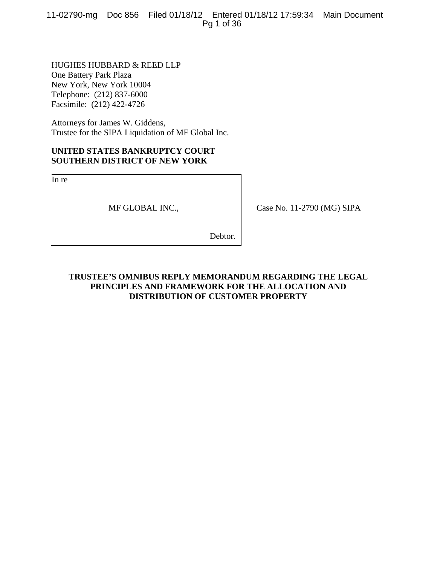11-02790-mg Doc 856 Filed 01/18/12 Entered 01/18/12 17:59:34 Main Document Pg 1 of 36

HUGHES HUBBARD & REED LLP One Battery Park Plaza New York, New York 10004 Telephone: (212) 837-6000 Facsimile: (212) 422-4726

Attorneys for James W. Giddens, Trustee for the SIPA Liquidation of MF Global Inc.

## **UNITED STATES BANKRUPTCY COURT SOUTHERN DISTRICT OF NEW YORK**

In re

MF GLOBAL INC.,

Case No. 11-2790 (MG) SIPA

Debtor.

## **TRUSTEE'S OMNIBUS REPLY MEMORANDUM REGARDING THE LEGAL PRINCIPLES AND FRAMEWORK FOR THE ALLOCATION AND DISTRIBUTION OF CUSTOMER PROPERTY**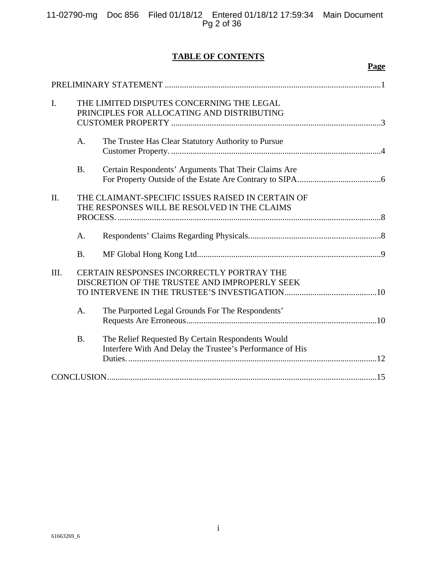|  | 11-02790-mg Doc 856 Filed 01/18/12 Entered 01/18/12 17:59:34 Main Document |  |
|--|----------------------------------------------------------------------------|--|
|  | Pg 2 of 36                                                                 |  |

## **TABLE OF CONTENTS**

**Page**

| $\mathbf{I}$ . |           | THE LIMITED DISPUTES CONCERNING THE LEGAL<br>PRINCIPLES FOR ALLOCATING AND DISTRIBUTING                        |
|----------------|-----------|----------------------------------------------------------------------------------------------------------------|
|                | A.        | The Trustee Has Clear Statutory Authority to Pursue                                                            |
|                | <b>B.</b> | Certain Respondents' Arguments That Their Claims Are                                                           |
| II.            |           | THE CLAIMANT-SPECIFIC ISSUES RAISED IN CERTAIN OF<br>THE RESPONSES WILL BE RESOLVED IN THE CLAIMS              |
|                | A.        |                                                                                                                |
|                | <b>B.</b> |                                                                                                                |
| III.           |           | CERTAIN RESPONSES INCORRECTLY PORTRAY THE<br>DISCRETION OF THE TRUSTEE AND IMPROPERLY SEEK                     |
|                | A.        | The Purported Legal Grounds For The Respondents'                                                               |
|                | <b>B.</b> | The Relief Requested By Certain Respondents Would<br>Interfere With And Delay the Trustee's Performance of His |
|                |           |                                                                                                                |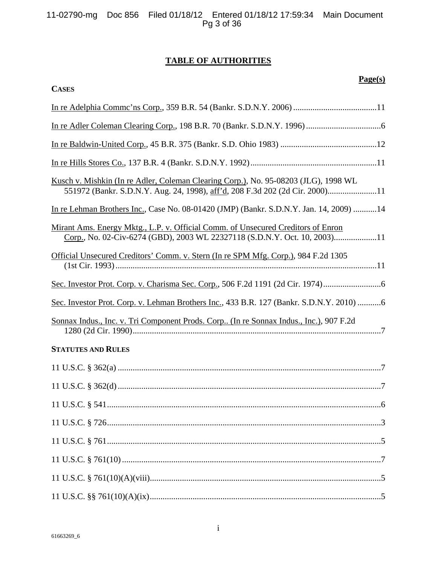## **TABLE OF AUTHORITIES**

| 61663269 6 |  |
|------------|--|

| <b>CASES</b>                                                                                                                                                        |
|---------------------------------------------------------------------------------------------------------------------------------------------------------------------|
|                                                                                                                                                                     |
|                                                                                                                                                                     |
|                                                                                                                                                                     |
|                                                                                                                                                                     |
| Kusch v. Mishkin (In re Adler, Coleman Clearing Corp.), No. 95-08203 (JLG), 1998 WL<br>551972 (Bankr. S.D.N.Y. Aug. 24, 1998), aff'd, 208 F.3d 202 (2d Cir. 2000)11 |
| In re Lehman Brothers Inc., Case No. 08-01420 (JMP) (Bankr. S.D.N.Y. Jan. 14, 2009) 14                                                                              |
| Mirant Ams. Energy Mktg., L.P. v. Official Comm. of Unsecured Creditors of Enron<br>Corp., No. 02-Civ-6274 (GBD), 2003 WL 22327118 (S.D.N.Y. Oct. 10, 2003)11       |
| Official Unsecured Creditors' Comm. v. Stern (In re SPM Mfg. Corp.), 984 F.2d 1305                                                                                  |
| Sec. Investor Prot. Corp. v. Charisma Sec. Corp., 506 F.2d 1191 (2d Cir. 1974)                                                                                      |
| Sec. Investor Prot. Corp. v. Lehman Brothers Inc., 433 B.R. 127 (Bankr. S.D.N.Y. 2010) 6                                                                            |
| Sonnax Indus., Inc. v. Tri Component Prods. Corp (In re Sonnax Indus., Inc.), 907 F.2d                                                                              |
| <b>STATUTES AND RULES</b>                                                                                                                                           |
|                                                                                                                                                                     |
|                                                                                                                                                                     |
|                                                                                                                                                                     |
|                                                                                                                                                                     |
|                                                                                                                                                                     |
|                                                                                                                                                                     |
|                                                                                                                                                                     |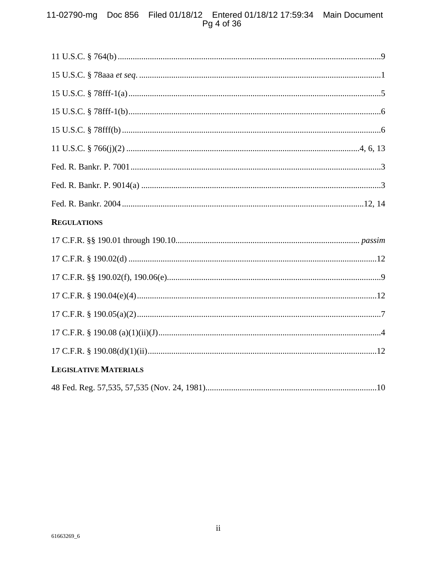# 11-02790-mg Doc 856 Filed 01/18/12 Entered 01/18/12 17:59:34 Main Document<br>Pg 4 of 36

| <b>REGULATIONS</b>           |
|------------------------------|
|                              |
|                              |
|                              |
|                              |
|                              |
|                              |
|                              |
| <b>LEGISLATIVE MATERIALS</b> |
|                              |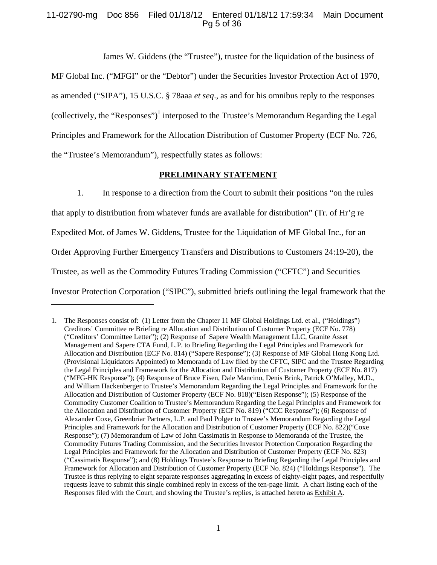## 11-02790-mg Doc 856 Filed 01/18/12 Entered 01/18/12 17:59:34 Main Document Pg 5 of 36

James W. Giddens (the "Trustee"), trustee for the liquidation of the business of

MF Global Inc. ("MFGI" or the "Debtor") under the Securities Investor Protection Act of 1970, as amended ("SIPA"), 15 U.S.C. § 78aaa *et seq*., as and for his omnibus reply to the responses (collectively, the "Responses")<sup>1</sup> interposed to the Trustee's Memorandum Regarding the Legal Principles and Framework for the Allocation Distribution of Customer Property (ECF No. 726, the "Trustee's Memorandum"), respectfully states as follows:

### **PRELIMINARY STATEMENT**

1. In response to a direction from the Court to submit their positions "on the rules that apply to distribution from whatever funds are available for distribution" (Tr. of Hr'g re Expedited Mot. of James W. Giddens, Trustee for the Liquidation of MF Global Inc., for an Order Approving Further Emergency Transfers and Distributions to Customers 24:19-20), the Trustee, as well as the Commodity Futures Trading Commission ("CFTC") and Securities Investor Protection Corporation ("SIPC"), submitted briefs outlining the legal framework that the

 $\overline{a}$ 

<sup>1.</sup> The Responses consist of: (1) Letter from the Chapter 11 MF Global Holdings Ltd. et al., ("Holdings") Creditors' Committee re Briefing re Allocation and Distribution of Customer Property (ECF No. 778) ("Creditors' Committee Letter"); (2) Response of Sapere Wealth Management LLC, Granite Asset Management and Sapere CTA Fund, L.P. to Briefing Regarding the Legal Principles and Framework for Allocation and Distribution (ECF No. 814) ("Sapere Response"); (3) Response of MF Global Hong Kong Ltd. (Provisional Liquidators Appointed) to Memoranda of Law filed by the CFTC, SIPC and the Trustee Regarding the Legal Principles and Framework for the Allocation and Distribution of Customer Property (ECF No. 817) ("MFG-HK Response"); (4) Response of Bruce Eisen, Dale Mancino, Denis Brink, Patrick O'Malley, M.D., and William Hackenberger to Trustee's Memorandum Regarding the Legal Principles and Framework for the Allocation and Distribution of Customer Property (ECF No. 818)("Eisen Response"); (5) Response of the Commodity Customer Coalition to Trustee's Memorandum Regarding the Legal Principles and Framework for the Allocation and Distribution of Customer Property (ECF No. 819) ("CCC Response"); (6) Response of Alexander Coxe, Greenbriar Partners, L.P. and Paul Polger to Trustee's Memorandum Regarding the Legal Principles and Framework for the Allocation and Distribution of Customer Property (ECF No. 822)("Coxe Response"); (7) Memorandum of Law of John Cassimatis in Response to Memoranda of the Trustee, the Commodity Futures Trading Commission, and the Securities Investor Protection Corporation Regarding the Legal Principles and Framework for the Allocation and Distribution of Customer Property (ECF No. 823) ("Cassimatis Response"); and (8) Holdings Trustee's Response to Briefing Regarding the Legal Principles and Framework for Allocation and Distribution of Customer Property (ECF No. 824) ("Holdings Response"). The Trustee is thus replying to eight separate responses aggregating in excess of eighty-eight pages, and respectfully requests leave to submit this single combined reply in excess of the ten-page limit. A chart listing each of the Responses filed with the Court, and showing the Trustee's replies, is attached hereto as Exhibit A.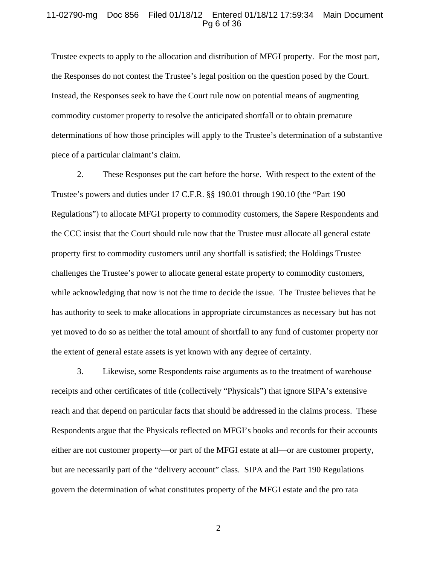### 11-02790-mg Doc 856 Filed 01/18/12 Entered 01/18/12 17:59:34 Main Document Pg 6 of 36

Trustee expects to apply to the allocation and distribution of MFGI property. For the most part, the Responses do not contest the Trustee's legal position on the question posed by the Court. Instead, the Responses seek to have the Court rule now on potential means of augmenting commodity customer property to resolve the anticipated shortfall or to obtain premature determinations of how those principles will apply to the Trustee's determination of a substantive piece of a particular claimant's claim.

2. These Responses put the cart before the horse. With respect to the extent of the Trustee's powers and duties under 17 C.F.R. §§ 190.01 through 190.10 (the "Part 190 Regulations") to allocate MFGI property to commodity customers, the Sapere Respondents and the CCC insist that the Court should rule now that the Trustee must allocate all general estate property first to commodity customers until any shortfall is satisfied; the Holdings Trustee challenges the Trustee's power to allocate general estate property to commodity customers, while acknowledging that now is not the time to decide the issue. The Trustee believes that he has authority to seek to make allocations in appropriate circumstances as necessary but has not yet moved to do so as neither the total amount of shortfall to any fund of customer property nor the extent of general estate assets is yet known with any degree of certainty.

3. Likewise, some Respondents raise arguments as to the treatment of warehouse receipts and other certificates of title (collectively "Physicals") that ignore SIPA's extensive reach and that depend on particular facts that should be addressed in the claims process. These Respondents argue that the Physicals reflected on MFGI's books and records for their accounts either are not customer property—or part of the MFGI estate at all—or are customer property, but are necessarily part of the "delivery account" class. SIPA and the Part 190 Regulations govern the determination of what constitutes property of the MFGI estate and the pro rata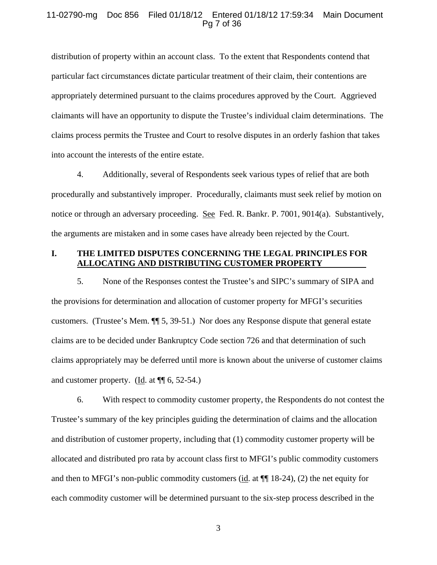#### 11-02790-mg Doc 856 Filed 01/18/12 Entered 01/18/12 17:59:34 Main Document Pg 7 of 36

distribution of property within an account class. To the extent that Respondents contend that particular fact circumstances dictate particular treatment of their claim, their contentions are appropriately determined pursuant to the claims procedures approved by the Court. Aggrieved claimants will have an opportunity to dispute the Trustee's individual claim determinations. The claims process permits the Trustee and Court to resolve disputes in an orderly fashion that takes into account the interests of the entire estate.

4. Additionally, several of Respondents seek various types of relief that are both procedurally and substantively improper. Procedurally, claimants must seek relief by motion on notice or through an adversary proceeding. See Fed. R. Bankr. P. 7001, 9014(a). Substantively, the arguments are mistaken and in some cases have already been rejected by the Court.

## **I. THE LIMITED DISPUTES CONCERNING THE LEGAL PRINCIPLES FOR ALLOCATING AND DISTRIBUTING CUSTOMER PROPERTY**

5. None of the Responses contest the Trustee's and SIPC's summary of SIPA and the provisions for determination and allocation of customer property for MFGI's securities customers. (Trustee's Mem. ¶¶ 5, 39-51.) Nor does any Response dispute that general estate claims are to be decided under Bankruptcy Code section 726 and that determination of such claims appropriately may be deferred until more is known about the universe of customer claims and customer property. (Id. at  $\P$  6, 52-54.)

6. With respect to commodity customer property, the Respondents do not contest the Trustee's summary of the key principles guiding the determination of claims and the allocation and distribution of customer property, including that (1) commodity customer property will be allocated and distributed pro rata by account class first to MFGI's public commodity customers and then to MFGI's non-public commodity customers (id. at ¶¶ 18-24), (2) the net equity for each commodity customer will be determined pursuant to the six-step process described in the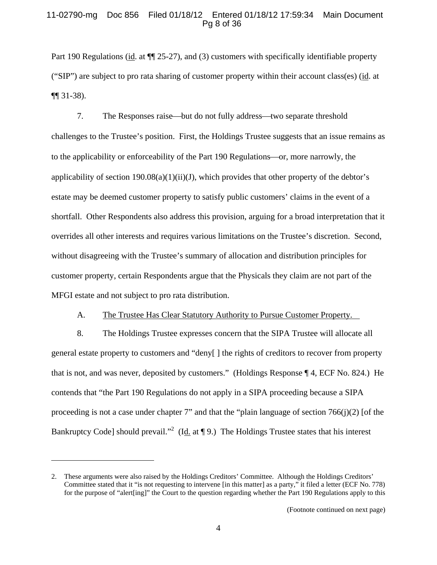## 11-02790-mg Doc 856 Filed 01/18/12 Entered 01/18/12 17:59:34 Main Document Pg 8 of 36

Part 190 Regulations (id. at  $\P$  25-27), and (3) customers with specifically identifiable property ("SIP") are subject to pro rata sharing of customer property within their account class(es) (id. at ¶¶ 31-38).

7. The Responses raise—but do not fully address—two separate threshold challenges to the Trustee's position. First, the Holdings Trustee suggests that an issue remains as to the applicability or enforceability of the Part 190 Regulations—or, more narrowly, the applicability of section  $190.08(a)(1)(ii)(J)$ , which provides that other property of the debtor's estate may be deemed customer property to satisfy public customers' claims in the event of a shortfall. Other Respondents also address this provision, arguing for a broad interpretation that it overrides all other interests and requires various limitations on the Trustee's discretion. Second, without disagreeing with the Trustee's summary of allocation and distribution principles for customer property, certain Respondents argue that the Physicals they claim are not part of the MFGI estate and not subject to pro rata distribution.

## A. The Trustee Has Clear Statutory Authority to Pursue Customer Property.

8. The Holdings Trustee expresses concern that the SIPA Trustee will allocate all general estate property to customers and "deny[ ] the rights of creditors to recover from property that is not, and was never, deposited by customers." (Holdings Response ¶ 4, ECF No. 824.) He contends that "the Part 190 Regulations do not apply in a SIPA proceeding because a SIPA proceeding is not a case under chapter 7" and that the "plain language of section  $766(j)(2)$  [of the Bankruptcy Code] should prevail."<sup>2</sup> (Id. at  $\P$  9.) The Holdings Trustee states that his interest

 $\overline{a}$ 

<sup>2.</sup> These arguments were also raised by the Holdings Creditors' Committee. Although the Holdings Creditors' Committee stated that it "is not requesting to intervene [in this matter] as a party," it filed a letter (ECF No. 778) for the purpose of "alert[ing]" the Court to the question regarding whether the Part 190 Regulations apply to this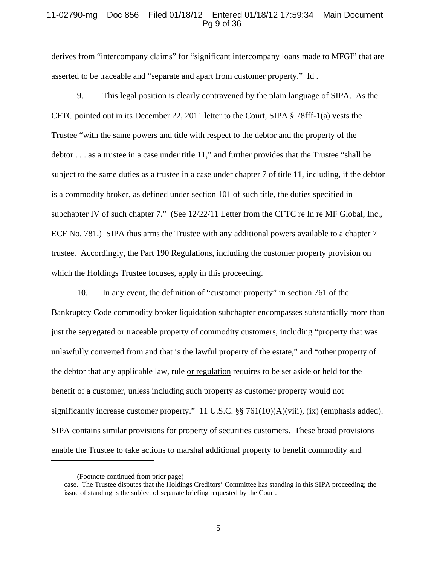### 11-02790-mg Doc 856 Filed 01/18/12 Entered 01/18/12 17:59:34 Main Document Pg 9 of 36

derives from "intercompany claims" for "significant intercompany loans made to MFGI" that are asserted to be traceable and "separate and apart from customer property." Id .

9. This legal position is clearly contravened by the plain language of SIPA. As the CFTC pointed out in its December 22, 2011 letter to the Court, SIPA § 78fff-1(a) vests the Trustee "with the same powers and title with respect to the debtor and the property of the debtor . . . as a trustee in a case under title 11," and further provides that the Trustee "shall be subject to the same duties as a trustee in a case under chapter 7 of title 11, including, if the debtor is a commodity broker, as defined under section 101 of such title, the duties specified in subchapter IV of such chapter 7." (See 12/22/11 Letter from the CFTC re In re MF Global, Inc., ECF No. 781.) SIPA thus arms the Trustee with any additional powers available to a chapter 7 trustee. Accordingly, the Part 190 Regulations, including the customer property provision on which the Holdings Trustee focuses, apply in this proceeding.

10. In any event, the definition of "customer property" in section 761 of the Bankruptcy Code commodity broker liquidation subchapter encompasses substantially more than just the segregated or traceable property of commodity customers, including "property that was unlawfully converted from and that is the lawful property of the estate," and "other property of the debtor that any applicable law, rule or regulation requires to be set aside or held for the benefit of a customer, unless including such property as customer property would not significantly increase customer property." 11 U.S.C. §§ 761(10)(A)(viii), (ix) (emphasis added). SIPA contains similar provisions for property of securities customers. These broad provisions enable the Trustee to take actions to marshal additional property to benefit commodity and

 $\overline{a}$ 

<sup>(</sup>Footnote continued from prior page)

case. The Trustee disputes that the Holdings Creditors' Committee has standing in this SIPA proceeding; the issue of standing is the subject of separate briefing requested by the Court.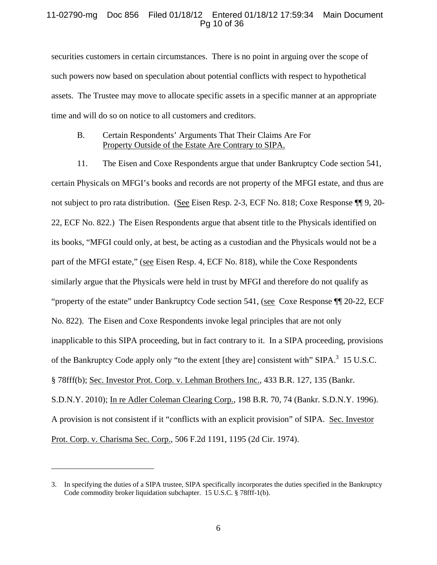## 11-02790-mg Doc 856 Filed 01/18/12 Entered 01/18/12 17:59:34 Main Document Pg 10 of 36

securities customers in certain circumstances. There is no point in arguing over the scope of such powers now based on speculation about potential conflicts with respect to hypothetical assets. The Trustee may move to allocate specific assets in a specific manner at an appropriate time and will do so on notice to all customers and creditors.

### B. Certain Respondents' Arguments That Their Claims Are For Property Outside of the Estate Are Contrary to SIPA.

11. The Eisen and Coxe Respondents argue that under Bankruptcy Code section 541, certain Physicals on MFGI's books and records are not property of the MFGI estate, and thus are not subject to pro rata distribution. (See Eisen Resp. 2-3, ECF No. 818; Coxe Response ¶¶ 9, 20- 22, ECF No. 822.) The Eisen Respondents argue that absent title to the Physicals identified on its books, "MFGI could only, at best, be acting as a custodian and the Physicals would not be a part of the MFGI estate," (see Eisen Resp. 4, ECF No. 818), while the Coxe Respondents similarly argue that the Physicals were held in trust by MFGI and therefore do not qualify as "property of the estate" under Bankruptcy Code section 541, (see Coxe Response ¶¶ 20-22, ECF No. 822). The Eisen and Coxe Respondents invoke legal principles that are not only inapplicable to this SIPA proceeding, but in fact contrary to it. In a SIPA proceeding, provisions of the Bankruptcy Code apply only "to the extent [they are] consistent with" SIPA.<sup>3</sup> 15 U.S.C. § 78fff(b); Sec. Investor Prot. Corp. v. Lehman Brothers Inc., 433 B.R. 127, 135 (Bankr. S.D.N.Y. 2010); In re Adler Coleman Clearing Corp., 198 B.R. 70, 74 (Bankr. S.D.N.Y. 1996). A provision is not consistent if it "conflicts with an explicit provision" of SIPA. Sec. Investor Prot. Corp. v. Charisma Sec. Corp., 506 F.2d 1191, 1195 (2d Cir. 1974).

l

<sup>3.</sup> In specifying the duties of a SIPA trustee, SIPA specifically incorporates the duties specified in the Bankruptcy Code commodity broker liquidation subchapter. 15 U.S.C. § 78fff-1(b).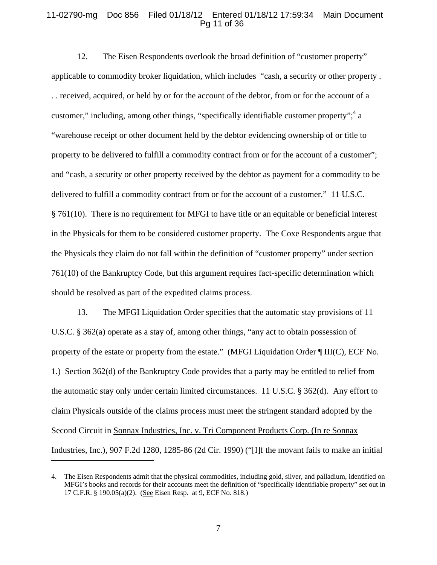#### 11-02790-mg Doc 856 Filed 01/18/12 Entered 01/18/12 17:59:34 Main Document Pg 11 of 36

12. The Eisen Respondents overlook the broad definition of "customer property" applicable to commodity broker liquidation, which includes "cash, a security or other property . . . received, acquired, or held by or for the account of the debtor, from or for the account of a customer," including, among other things, "specifically identifiable customer property";  $4a$ "warehouse receipt or other document held by the debtor evidencing ownership of or title to property to be delivered to fulfill a commodity contract from or for the account of a customer"; and "cash, a security or other property received by the debtor as payment for a commodity to be delivered to fulfill a commodity contract from or for the account of a customer." 11 U.S.C. § 761(10). There is no requirement for MFGI to have title or an equitable or beneficial interest in the Physicals for them to be considered customer property. The Coxe Respondents argue that the Physicals they claim do not fall within the definition of "customer property" under section 761(10) of the Bankruptcy Code, but this argument requires fact-specific determination which should be resolved as part of the expedited claims process.

13. The MFGI Liquidation Order specifies that the automatic stay provisions of 11 U.S.C. § 362(a) operate as a stay of, among other things, "any act to obtain possession of property of the estate or property from the estate." (MFGI Liquidation Order ¶ III(C), ECF No. 1.) Section 362(d) of the Bankruptcy Code provides that a party may be entitled to relief from the automatic stay only under certain limited circumstances. 11 U.S.C. § 362(d). Any effort to claim Physicals outside of the claims process must meet the stringent standard adopted by the Second Circuit in Sonnax Industries, Inc. v. Tri Component Products Corp. (In re Sonnax Industries, Inc.), 907 F.2d 1280, 1285-86 (2d Cir. 1990) ("[I]f the movant fails to make an initial

 $\overline{a}$ 

<sup>4.</sup> The Eisen Respondents admit that the physical commodities, including gold, silver, and palladium, identified on MFGI's books and records for their accounts meet the definition of "specifically identifiable property" set out in 17 C.F.R. § 190.05(a)(2). (See Eisen Resp. at 9, ECF No. 818.)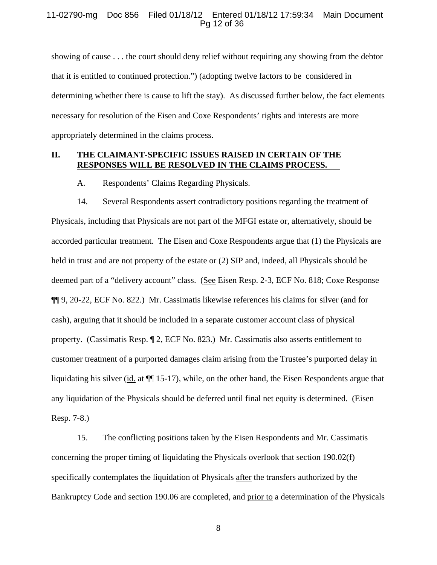#### 11-02790-mg Doc 856 Filed 01/18/12 Entered 01/18/12 17:59:34 Main Document Pg 12 of 36

showing of cause . . . the court should deny relief without requiring any showing from the debtor that it is entitled to continued protection.") (adopting twelve factors to be considered in determining whether there is cause to lift the stay). As discussed further below, the fact elements necessary for resolution of the Eisen and Coxe Respondents' rights and interests are more appropriately determined in the claims process.

#### **II. THE CLAIMANT-SPECIFIC ISSUES RAISED IN CERTAIN OF THE RESPONSES WILL BE RESOLVED IN THE CLAIMS PROCESS.**

#### A. Respondents' Claims Regarding Physicals.

14. Several Respondents assert contradictory positions regarding the treatment of Physicals, including that Physicals are not part of the MFGI estate or, alternatively, should be accorded particular treatment. The Eisen and Coxe Respondents argue that (1) the Physicals are held in trust and are not property of the estate or (2) SIP and, indeed, all Physicals should be deemed part of a "delivery account" class. (See Eisen Resp. 2-3, ECF No. 818; Coxe Response ¶¶ 9, 20-22, ECF No. 822.) Mr. Cassimatis likewise references his claims for silver (and for cash), arguing that it should be included in a separate customer account class of physical property. (Cassimatis Resp. ¶ 2, ECF No. 823.) Mr. Cassimatis also asserts entitlement to customer treatment of a purported damages claim arising from the Trustee's purported delay in liquidating his silver (id. at ¶¶ 15-17), while, on the other hand, the Eisen Respondents argue that any liquidation of the Physicals should be deferred until final net equity is determined. (Eisen Resp. 7-8.)

15. The conflicting positions taken by the Eisen Respondents and Mr. Cassimatis concerning the proper timing of liquidating the Physicals overlook that section 190.02(f) specifically contemplates the liquidation of Physicals after the transfers authorized by the Bankruptcy Code and section 190.06 are completed, and prior to a determination of the Physicals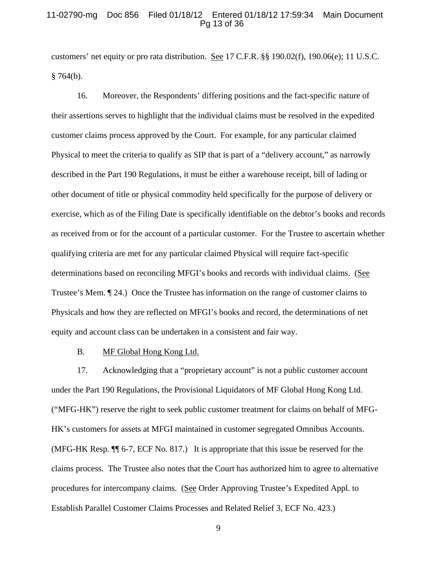#### 11-02790-mg Doc 856 Filed 01/18/12 Entered 01/18/12 17:59:34 Main Document Pg 13 of 36

customers' net equity or pro rata distribution. See 17 C.F.R. §§ 190.02(f), 190.06(e); 11 U.S.C.  $§ 764(b).$ 

16. Moreover, the Respondents' differing positions and the fact-specific nature of their assertions serves to highlight that the individual claims must be resolved in the expedited customer claims process approved by the Court. For example, for any particular claimed Physical to meet the criteria to qualify as SIP that is part of a "delivery account," as narrowly described in the Part 190 Regulations, it must be either a warehouse receipt, bill of lading or other document of title or physical commodity held specifically for the purpose of delivery or exercise, which as of the Filing Date is specifically identifiable on the debtor's books and records as received from or for the account of a particular customer. For the Trustee to ascertain whether qualifying criteria are met for any particular claimed Physical will require fact-specific determinations based on reconciling MFGI's books and records with individual claims. (See Trustee's Mem. ¶ 24.) Once the Trustee has information on the range of customer claims to Physicals and how they are reflected on MFGI's books and record, the determinations of net equity and account class can be undertaken in a consistent and fair way.

### B. MF Global Hong Kong Ltd.

17. Acknowledging that a "proprietary account" is not a public customer account under the Part 190 Regulations, the Provisional Liquidators of MF Global Hong Kong Ltd. ("MFG-HK") reserve the right to seek public customer treatment for claims on behalf of MFG-HK's customers for assets at MFGI maintained in customer segregated Omnibus Accounts. (MFG-HK Resp. ¶¶ 6-7, ECF No. 817.) It is appropriate that this issue be reserved for the claims process. The Trustee also notes that the Court has authorized him to agree to alternative procedures for intercompany claims. (See Order Approving Trustee's Expedited Appl. to Establish Parallel Customer Claims Processes and Related Relief 3, ECF No. 423.)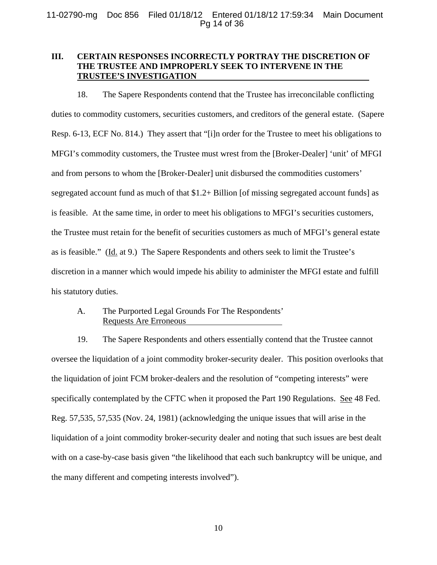## **III. CERTAIN RESPONSES INCORRECTLY PORTRAY THE DISCRETION OF THE TRUSTEE AND IMPROPERLY SEEK TO INTERVENE IN THE TRUSTEE'S INVESTIGATION**

18. The Sapere Respondents contend that the Trustee has irreconcilable conflicting duties to commodity customers, securities customers, and creditors of the general estate. (Sapere Resp. 6-13, ECF No. 814.) They assert that "[i]n order for the Trustee to meet his obligations to MFGI's commodity customers, the Trustee must wrest from the [Broker-Dealer] 'unit' of MFGI and from persons to whom the [Broker-Dealer] unit disbursed the commodities customers' segregated account fund as much of that \$1.2+ Billion [of missing segregated account funds] as is feasible. At the same time, in order to meet his obligations to MFGI's securities customers, the Trustee must retain for the benefit of securities customers as much of MFGI's general estate as is feasible." (Id. at 9.) The Sapere Respondents and others seek to limit the Trustee's discretion in a manner which would impede his ability to administer the MFGI estate and fulfill his statutory duties.

A. The Purported Legal Grounds For The Respondents' Requests Are Erroneous

19. The Sapere Respondents and others essentially contend that the Trustee cannot oversee the liquidation of a joint commodity broker-security dealer. This position overlooks that the liquidation of joint FCM broker-dealers and the resolution of "competing interests" were specifically contemplated by the CFTC when it proposed the Part 190 Regulations. See 48 Fed. Reg. 57,535, 57,535 (Nov. 24, 1981) (acknowledging the unique issues that will arise in the liquidation of a joint commodity broker-security dealer and noting that such issues are best dealt with on a case-by-case basis given "the likelihood that each such bankruptcy will be unique, and the many different and competing interests involved").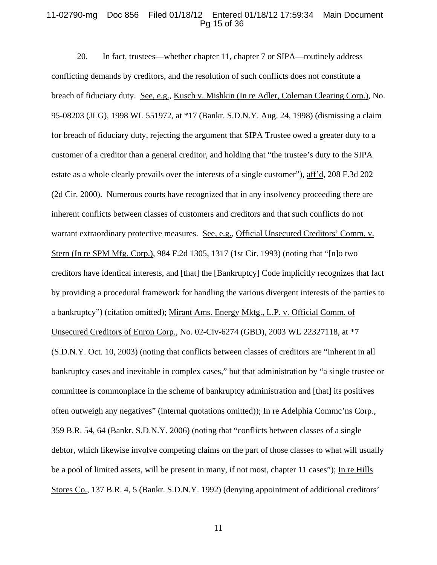#### 11-02790-mg Doc 856 Filed 01/18/12 Entered 01/18/12 17:59:34 Main Document Pg 15 of 36

20. In fact, trustees—whether chapter 11, chapter 7 or SIPA—routinely address conflicting demands by creditors, and the resolution of such conflicts does not constitute a breach of fiduciary duty. See, e.g., Kusch v. Mishkin (In re Adler, Coleman Clearing Corp.), No. 95-08203 (JLG), 1998 WL 551972, at \*17 (Bankr. S.D.N.Y. Aug. 24, 1998) (dismissing a claim for breach of fiduciary duty, rejecting the argument that SIPA Trustee owed a greater duty to a customer of a creditor than a general creditor, and holding that "the trustee's duty to the SIPA estate as a whole clearly prevails over the interests of a single customer"), aff'd, 208 F.3d 202 (2d Cir. 2000). Numerous courts have recognized that in any insolvency proceeding there are inherent conflicts between classes of customers and creditors and that such conflicts do not warrant extraordinary protective measures. See, e.g., Official Unsecured Creditors' Comm. v. Stern (In re SPM Mfg. Corp.), 984 F.2d 1305, 1317 (1st Cir. 1993) (noting that "[n]o two creditors have identical interests, and [that] the [Bankruptcy] Code implicitly recognizes that fact by providing a procedural framework for handling the various divergent interests of the parties to a bankruptcy") (citation omitted); Mirant Ams. Energy Mktg., L.P. v. Official Comm. of Unsecured Creditors of Enron Corp., No. 02-Civ-6274 (GBD), 2003 WL 22327118, at \*7 (S.D.N.Y. Oct. 10, 2003) (noting that conflicts between classes of creditors are "inherent in all bankruptcy cases and inevitable in complex cases," but that administration by "a single trustee or committee is commonplace in the scheme of bankruptcy administration and [that] its positives often outweigh any negatives" (internal quotations omitted)); In re Adelphia Commc'ns Corp., 359 B.R. 54, 64 (Bankr. S.D.N.Y. 2006) (noting that "conflicts between classes of a single debtor, which likewise involve competing claims on the part of those classes to what will usually be a pool of limited assets, will be present in many, if not most, chapter 11 cases"); In re Hills Stores Co., 137 B.R. 4, 5 (Bankr. S.D.N.Y. 1992) (denying appointment of additional creditors'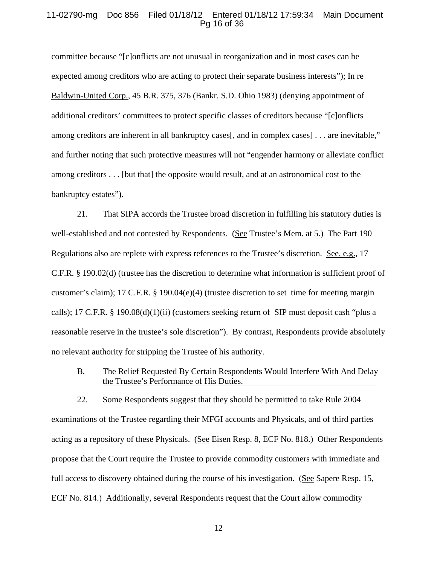#### 11-02790-mg Doc 856 Filed 01/18/12 Entered 01/18/12 17:59:34 Main Document Pg 16 of 36

committee because "[c]onflicts are not unusual in reorganization and in most cases can be expected among creditors who are acting to protect their separate business interests"); In re Baldwin-United Corp., 45 B.R. 375, 376 (Bankr. S.D. Ohio 1983) (denying appointment of additional creditors' committees to protect specific classes of creditors because "[c]onflicts among creditors are inherent in all bankruptcy cases[, and in complex cases] . . . are inevitable," and further noting that such protective measures will not "engender harmony or alleviate conflict among creditors . . . [but that] the opposite would result, and at an astronomical cost to the bankruptcy estates").

21. That SIPA accords the Trustee broad discretion in fulfilling his statutory duties is well-established and not contested by Respondents. (See Trustee's Mem. at 5.) The Part 190 Regulations also are replete with express references to the Trustee's discretion. See, e.g., 17 C.F.R. § 190.02(d) (trustee has the discretion to determine what information is sufficient proof of customer's claim); 17 C.F.R. § 190.04(e)(4) (trustee discretion to set time for meeting margin calls); 17 C.F.R. § 190.08(d)(1)(ii) (customers seeking return of SIP must deposit cash "plus a reasonable reserve in the trustee's sole discretion"). By contrast, Respondents provide absolutely no relevant authority for stripping the Trustee of his authority.

B. The Relief Requested By Certain Respondents Would Interfere With And Delay the Trustee's Performance of His Duties.

22. Some Respondents suggest that they should be permitted to take Rule 2004 examinations of the Trustee regarding their MFGI accounts and Physicals, and of third parties acting as a repository of these Physicals. (See Eisen Resp. 8, ECF No. 818.) Other Respondents propose that the Court require the Trustee to provide commodity customers with immediate and full access to discovery obtained during the course of his investigation. (See Sapere Resp. 15, ECF No. 814.) Additionally, several Respondents request that the Court allow commodity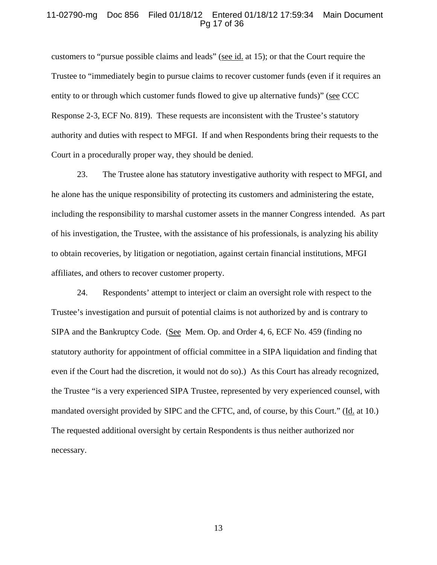### 11-02790-mg Doc 856 Filed 01/18/12 Entered 01/18/12 17:59:34 Main Document Pg 17 of 36

customers to "pursue possible claims and leads" (see id. at 15); or that the Court require the Trustee to "immediately begin to pursue claims to recover customer funds (even if it requires an entity to or through which customer funds flowed to give up alternative funds)" (see CCC Response 2-3, ECF No. 819). These requests are inconsistent with the Trustee's statutory authority and duties with respect to MFGI. If and when Respondents bring their requests to the Court in a procedurally proper way, they should be denied.

23. The Trustee alone has statutory investigative authority with respect to MFGI, and he alone has the unique responsibility of protecting its customers and administering the estate, including the responsibility to marshal customer assets in the manner Congress intended. As part of his investigation, the Trustee, with the assistance of his professionals, is analyzing his ability to obtain recoveries, by litigation or negotiation, against certain financial institutions, MFGI affiliates, and others to recover customer property.

24. Respondents' attempt to interject or claim an oversight role with respect to the Trustee's investigation and pursuit of potential claims is not authorized by and is contrary to SIPA and the Bankruptcy Code. (See Mem. Op. and Order 4, 6, ECF No. 459 (finding no statutory authority for appointment of official committee in a SIPA liquidation and finding that even if the Court had the discretion, it would not do so).) As this Court has already recognized, the Trustee "is a very experienced SIPA Trustee, represented by very experienced counsel, with mandated oversight provided by SIPC and the CFTC, and, of course, by this Court." (Id. at 10.) The requested additional oversight by certain Respondents is thus neither authorized nor necessary.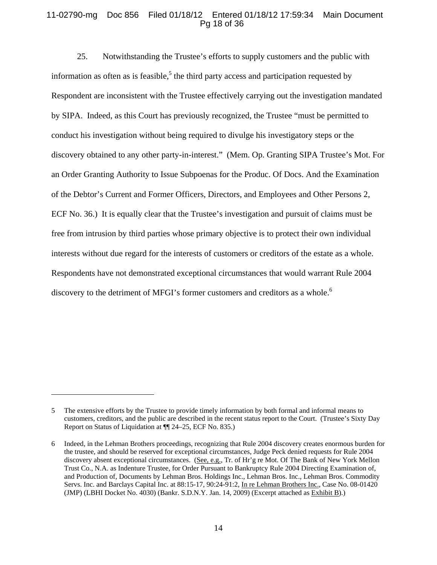## 11-02790-mg Doc 856 Filed 01/18/12 Entered 01/18/12 17:59:34 Main Document Pg 18 of 36

25. Notwithstanding the Trustee's efforts to supply customers and the public with information as often as is feasible,  $5$  the third party access and participation requested by Respondent are inconsistent with the Trustee effectively carrying out the investigation mandated by SIPA. Indeed, as this Court has previously recognized, the Trustee "must be permitted to conduct his investigation without being required to divulge his investigatory steps or the discovery obtained to any other party-in-interest." (Mem. Op. Granting SIPA Trustee's Mot. For an Order Granting Authority to Issue Subpoenas for the Produc. Of Docs. And the Examination of the Debtor's Current and Former Officers, Directors, and Employees and Other Persons 2, ECF No. 36.) It is equally clear that the Trustee's investigation and pursuit of claims must be free from intrusion by third parties whose primary objective is to protect their own individual interests without due regard for the interests of customers or creditors of the estate as a whole. Respondents have not demonstrated exceptional circumstances that would warrant Rule 2004 discovery to the detriment of MFGI's former customers and creditors as a whole.<sup>6</sup>

 $\overline{a}$ 

<sup>5</sup> The extensive efforts by the Trustee to provide timely information by both formal and informal means to customers, creditors, and the public are described in the recent status report to the Court. (Trustee's Sixty Day Report on Status of Liquidation at ¶¶ 24–25, ECF No. 835.)

<sup>6</sup> Indeed, in the Lehman Brothers proceedings, recognizing that Rule 2004 discovery creates enormous burden for the trustee, and should be reserved for exceptional circumstances, Judge Peck denied requests for Rule 2004 discovery absent exceptional circumstances. (See, e.g., Tr. of Hr'g re Mot. Of The Bank of New York Mellon Trust Co., N.A. as Indenture Trustee, for Order Pursuant to Bankruptcy Rule 2004 Directing Examination of, and Production of, Documents by Lehman Bros. Holdings Inc., Lehman Bros. Inc., Lehman Bros. Commodity Servs. Inc. and Barclays Capital Inc. at 88:15-17, 90:24-91:2, In re Lehman Brothers Inc., Case No. 08-01420 (JMP) (LBHI Docket No. 4030) (Bankr. S.D.N.Y. Jan. 14, 2009) (Excerpt attached as Exhibit B).)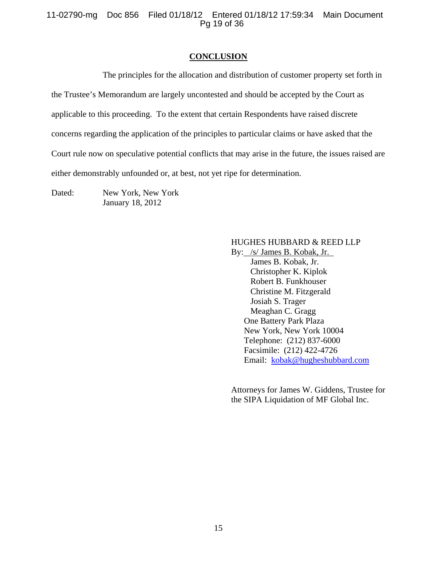11-02790-mg Doc 856 Filed 01/18/12 Entered 01/18/12 17:59:34 Main Document Pg 19 of 36

#### **CONCLUSION**

The principles for the allocation and distribution of customer property set forth in the Trustee's Memorandum are largely uncontested and should be accepted by the Court as applicable to this proceeding. To the extent that certain Respondents have raised discrete concerns regarding the application of the principles to particular claims or have asked that the Court rule now on speculative potential conflicts that may arise in the future, the issues raised are either demonstrably unfounded or, at best, not yet ripe for determination.

Dated: New York, New York January 18, 2012

### HUGHES HUBBARD & REED LLP

By: /s/ James B. Kobak, Jr. James B. Kobak, Jr. Christopher K. Kiplok Robert B. Funkhouser Christine M. Fitzgerald Josiah S. Trager Meaghan C. Gragg One Battery Park Plaza New York, New York 10004 Telephone: (212) 837-6000 Facsimile: (212) 422-4726 Email: kobak@hugheshubbard.com

Attorneys for James W. Giddens, Trustee for the SIPA Liquidation of MF Global Inc.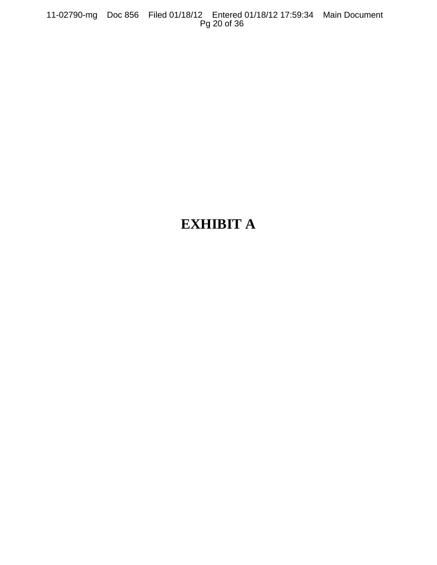11-02790-mg Doc 856 Filed 01/18/12 Entered 01/18/12 17:59:34 Main Document Pg 20 of 36

## **EXHIBIT A**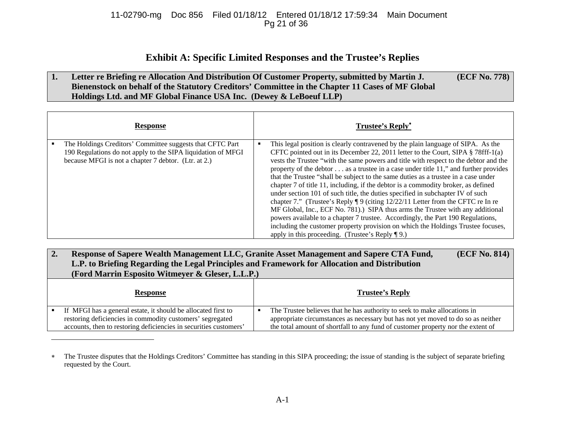## 11-02790-mg Doc 856 Filed 01/18/12 Entered 01/18/12 17:59:34 Main Document Pg 21 of 36

## **Exhibit A: Specific Limited Responses and the Trustee's Replies**

#### **1. Letter re Briefing re Allocation And Distribution Of Customer Property, submitted by Martin J. Bienenstock on behalf of the Statutory Creditors' Committee in the Chapter 11 Cases of MF Global Holdings Ltd. and MF Global Finance USA Inc. (Dewey & LeBoeuf LLP) (ECF No. 778)**

| <b>Response</b>                                                                                                                                                                   | <b>Trustee's Reply*</b>                                                                                                                                                                                                                                                                                                                                                                                                                                                                                                                                                                                                                                                                                                                                                                                                                                                                                                                                                                                                           |
|-----------------------------------------------------------------------------------------------------------------------------------------------------------------------------------|-----------------------------------------------------------------------------------------------------------------------------------------------------------------------------------------------------------------------------------------------------------------------------------------------------------------------------------------------------------------------------------------------------------------------------------------------------------------------------------------------------------------------------------------------------------------------------------------------------------------------------------------------------------------------------------------------------------------------------------------------------------------------------------------------------------------------------------------------------------------------------------------------------------------------------------------------------------------------------------------------------------------------------------|
| The Holdings Creditors' Committee suggests that CFTC Part<br>190 Regulations do not apply to the SIPA liquidation of MFGI<br>because MFGI is not a chapter 7 debtor. (Ltr. at 2.) | This legal position is clearly contravened by the plain language of SIPA. As the<br>CFTC pointed out in its December 22, 2011 letter to the Court, SIPA $\S$ 78fff-1(a)<br>vests the Trustee "with the same powers and title with respect to the debtor and the<br>property of the debtor $\dots$ as a trustee in a case under title 11," and further provides<br>that the Trustee "shall be subject to the same duties as a trustee in a case under<br>chapter 7 of title 11, including, if the debtor is a commodity broker, as defined<br>under section 101 of such title, the duties specified in subchapter IV of such<br>chapter 7." (Trustee's Reply $\P$ 9 (citing 12/22/11 Letter from the CFTC re In re<br>MF Global, Inc., ECF No. 781).) SIPA thus arms the Trustee with any additional<br>powers available to a chapter 7 trustee. Accordingly, the Part 190 Regulations,<br>including the customer property provision on which the Holdings Trustee focuses,<br>apply in this proceeding. (Trustee's Reply $\P$ 9.) |

| 2. | (ECF No. 814)<br>Response of Sapere Wealth Management LLC, Granite Asset Management and Sapere CTA Fund,<br>L.P. to Briefing Regarding the Legal Principles and Framework for Allocation and Distribution<br>(Ford Marrin Esposito Witmeyer & Gleser, L.L.P.) |  |                                                                                                                                                                                                                                                   |
|----|---------------------------------------------------------------------------------------------------------------------------------------------------------------------------------------------------------------------------------------------------------------|--|---------------------------------------------------------------------------------------------------------------------------------------------------------------------------------------------------------------------------------------------------|
|    | <b>Response</b>                                                                                                                                                                                                                                               |  | <b>Trustee's Reply</b>                                                                                                                                                                                                                            |
|    | If MFGI has a general estate, it should be allocated first to<br>restoring deficiencies in commodity customers' segregated<br>accounts, then to restoring deficiencies in securities customers'                                                               |  | The Trustee believes that he has authority to seek to make allocations in<br>appropriate circumstances as necessary but has not yet moved to do so as neither<br>the total amount of shortfall to any fund of customer property nor the extent of |

The Trustee disputes that the Holdings Creditors' Committee has standing in this SIPA proceeding; the issue of standing is the subject of separate briefing requested by the Court.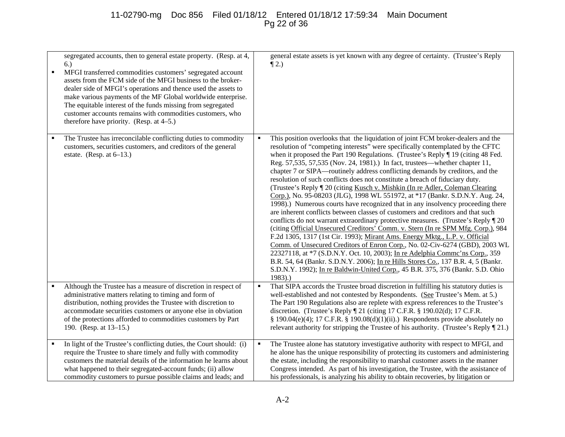## 11-02790-mg Doc 856 Filed 01/18/12 Entered 01/18/12 17:59:34 Main Document Pg 22 of 36

| ٠ | segregated accounts, then to general estate property. (Resp. at 4,<br>6.)<br>MFGI transferred commodities customers' segregated account<br>assets from the FCM side of the MFGI business to the broker-<br>dealer side of MFGI's operations and thence used the assets to<br>make various payments of the MF Global worldwide enterprise.<br>The equitable interest of the funds missing from segregated<br>customer accounts remains with commodities customers, who<br>therefore have priority. (Resp. at 4–5.) |                | general estate assets is yet known with any degree of certainty. (Trustee's Reply<br>$\P$ 2.)                                                                                                                                                                                                                                                                                                                                                                                                                                                                                                                                                                                                                                                                                                                                                                                                                                                                                                                                                                                                                                                                                                                                                                                                                                                                                                                                                             |
|---|-------------------------------------------------------------------------------------------------------------------------------------------------------------------------------------------------------------------------------------------------------------------------------------------------------------------------------------------------------------------------------------------------------------------------------------------------------------------------------------------------------------------|----------------|-----------------------------------------------------------------------------------------------------------------------------------------------------------------------------------------------------------------------------------------------------------------------------------------------------------------------------------------------------------------------------------------------------------------------------------------------------------------------------------------------------------------------------------------------------------------------------------------------------------------------------------------------------------------------------------------------------------------------------------------------------------------------------------------------------------------------------------------------------------------------------------------------------------------------------------------------------------------------------------------------------------------------------------------------------------------------------------------------------------------------------------------------------------------------------------------------------------------------------------------------------------------------------------------------------------------------------------------------------------------------------------------------------------------------------------------------------------|
|   | The Trustee has irreconcilable conflicting duties to commodity<br>customers, securities customers, and creditors of the general<br>estate. (Resp. at $6-13$ .)                                                                                                                                                                                                                                                                                                                                                    |                | This position overlooks that the liquidation of joint FCM broker-dealers and the<br>resolution of "competing interests" were specifically contemplated by the CFTC<br>when it proposed the Part 190 Regulations. (Trustee's Reply ¶ 19 (citing 48 Fed.<br>Reg. 57,535, 57,535 (Nov. 24, 1981).) In fact, trustees—whether chapter 11,<br>chapter 7 or SIPA—routinely address conflicting demands by creditors, and the<br>resolution of such conflicts does not constitute a breach of fiduciary duty.<br>(Trustee's Reply ¶ 20 (citing Kusch v. Mishkin (In re Adler, Coleman Clearing<br>Corp.), No. 95-08203 (JLG), 1998 WL 551972, at *17 (Bankr. S.D.N.Y. Aug. 24,<br>1998).) Numerous courts have recognized that in any insolvency proceeding there<br>are inherent conflicts between classes of customers and creditors and that such<br>conflicts do not warrant extraordinary protective measures. (Trustee's Reply ¶ 20<br>(citing Official Unsecured Creditors' Comm. v. Stern (In re SPM Mfg. Corp.), 984<br>F.2d 1305, 1317 (1st Cir. 1993); Mirant Ams. Energy Mktg., L.P. v. Official<br>Comm. of Unsecured Creditors of Enron Corp., No. 02-Civ-6274 (GBD), 2003 WL<br>22327118, at *7 (S.D.N.Y. Oct. 10, 2003); In re Adelphia Commc'ns Corp., 359<br>B.R. 54, 64 (Bankr. S.D.N.Y. 2006); In re Hills Stores Co., 137 B.R. 4, 5 (Bankr.<br>S.D.N.Y. 1992); In re Baldwin-United Corp., 45 B.R. 375, 376 (Bankr. S.D. Ohio<br>$1983)$ .) |
|   | Although the Trustee has a measure of discretion in respect of<br>administrative matters relating to timing and form of<br>distribution, nothing provides the Trustee with discretion to<br>accommodate securities customers or anyone else in obviation<br>of the protections afforded to commodities customers by Part<br>190. (Resp. at 13-15.)                                                                                                                                                                | $\blacksquare$ | That SIPA accords the Trustee broad discretion in fulfilling his statutory duties is<br>well-established and not contested by Respondents. (See Trustee's Mem. at 5.)<br>The Part 190 Regulations also are replete with express references to the Trustee's<br>discretion. (Trustee's Reply ¶ 21 (citing 17 C.F.R. § 190.02(d); 17 C.F.R.<br>§ 190.04(e)(4); 17 C.F.R. § 190.08(d)(1)(ii).) Respondents provide absolutely no<br>relevant authority for stripping the Trustee of his authority. (Trustee's Reply [21.)                                                                                                                                                                                                                                                                                                                                                                                                                                                                                                                                                                                                                                                                                                                                                                                                                                                                                                                                    |
|   | In light of the Trustee's conflicting duties, the Court should: (i)<br>require the Trustee to share timely and fully with commodity<br>customers the material details of the information he learns about<br>what happened to their segregated-account funds; (ii) allow<br>commodity customers to pursue possible claims and leads; and                                                                                                                                                                           |                | The Trustee alone has statutory investigative authority with respect to MFGI, and<br>he alone has the unique responsibility of protecting its customers and administering<br>the estate, including the responsibility to marshal customer assets in the manner<br>Congress intended. As part of his investigation, the Trustee, with the assistance of<br>his professionals, is analyzing his ability to obtain recoveries, by litigation or                                                                                                                                                                                                                                                                                                                                                                                                                                                                                                                                                                                                                                                                                                                                                                                                                                                                                                                                                                                                              |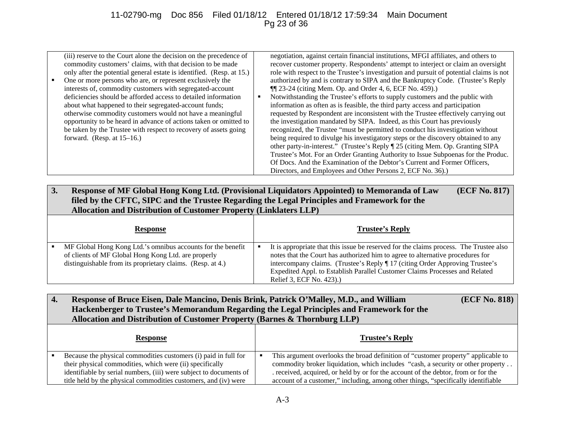## 11-02790-mg Doc 856 Filed 01/18/12 Entered 01/18/12 17:59:34 Main Document Pg 23 of 36

| interests of, commodity customers with segregated-account<br>$\P$ $[23-24$ (citing Mem. Op. and Order 4, 6, ECF No. 459).)<br>deficiencies should be afforded access to detailed information<br>Notwithstanding the Trustee's efforts to supply customers and the public with<br>information as often as is feasible, the third party access and participation<br>about what happened to their segregated-account funds;<br>otherwise commodity customers would not have a meaningful<br>requested by Respondent are inconsistent with the Trustee effectively carrying out<br>opportunity to be heard in advance of actions taken or omitted to<br>the investigation mandated by SIPA. Indeed, as this Court has previously<br>recognized, the Trustee "must be permitted to conduct his investigation without<br>be taken by the Trustee with respect to recovery of assets going<br>being required to divulge his investigatory steps or the discovery obtained to any<br>forward. (Resp. at $15-16$ .)<br>other party-in-interest." (Trustee's Reply 125 (citing Mem. Op. Granting SIPA<br>Trustee's Mot. For an Order Granting Authority to Issue Subpoenas for the Produc.<br>Of Docs. And the Examination of the Debtor's Current and Former Officers,<br>Directors, and Employees and Other Persons 2, ECF No. 36). | ٠ | (iii) reserve to the Court alone the decision on the precedence of<br>commodity customers' claims, with that decision to be made<br>only after the potential general estate is identified. (Resp. at 15.)<br>One or more persons who are, or represent exclusively the |  | negotiation, against certain financial institutions, MFGI affiliates, and others to<br>recover customer property. Respondents' attempt to interject or claim an oversight<br>role with respect to the Trustee's investigation and pursuit of potential claims is not<br>authorized by and is contrary to SIPA and the Bankruptcy Code. (Trustee's Reply |
|-----------------------------------------------------------------------------------------------------------------------------------------------------------------------------------------------------------------------------------------------------------------------------------------------------------------------------------------------------------------------------------------------------------------------------------------------------------------------------------------------------------------------------------------------------------------------------------------------------------------------------------------------------------------------------------------------------------------------------------------------------------------------------------------------------------------------------------------------------------------------------------------------------------------------------------------------------------------------------------------------------------------------------------------------------------------------------------------------------------------------------------------------------------------------------------------------------------------------------------------------------------------------------------------------------------------------------|---|------------------------------------------------------------------------------------------------------------------------------------------------------------------------------------------------------------------------------------------------------------------------|--|---------------------------------------------------------------------------------------------------------------------------------------------------------------------------------------------------------------------------------------------------------------------------------------------------------------------------------------------------------|
|-----------------------------------------------------------------------------------------------------------------------------------------------------------------------------------------------------------------------------------------------------------------------------------------------------------------------------------------------------------------------------------------------------------------------------------------------------------------------------------------------------------------------------------------------------------------------------------------------------------------------------------------------------------------------------------------------------------------------------------------------------------------------------------------------------------------------------------------------------------------------------------------------------------------------------------------------------------------------------------------------------------------------------------------------------------------------------------------------------------------------------------------------------------------------------------------------------------------------------------------------------------------------------------------------------------------------------|---|------------------------------------------------------------------------------------------------------------------------------------------------------------------------------------------------------------------------------------------------------------------------|--|---------------------------------------------------------------------------------------------------------------------------------------------------------------------------------------------------------------------------------------------------------------------------------------------------------------------------------------------------------|

**3. Response of MF Global Hong Kong Ltd. (Provisional Liquidators Appointed) to Memoranda of Law filed by the CFTC, SIPC and the Trustee Regarding the Legal Principles and Framework for the Allocation and Distribution of Customer Property (Linklaters LLP) (ECF No. 817)**

| <b>Response</b>                                                                                                                                                                  | <b>Trustee's Reply</b>                                                                                                                                                                                                                                                                                                                                             |
|----------------------------------------------------------------------------------------------------------------------------------------------------------------------------------|--------------------------------------------------------------------------------------------------------------------------------------------------------------------------------------------------------------------------------------------------------------------------------------------------------------------------------------------------------------------|
| MF Global Hong Kong Ltd.'s omnibus accounts for the benefit<br>of clients of MF Global Hong Kong Ltd. are properly<br>distinguishable from its proprietary claims. (Resp. at 4.) | It is appropriate that this issue be reserved for the claims process. The Trustee also<br>notes that the Court has authorized him to agree to alternative procedures for<br>intercompany claims. (Trustee's Reply ¶ 17 (citing Order Approving Trustee's<br>Expedited Appl. to Establish Parallel Customer Claims Processes and Related<br>Relief 3, ECF No. 423). |

| Response of Bruce Eisen, Dale Mancino, Denis Brink, Patrick O'Malley, M.D., and William   | (ECF No. 818) |
|-------------------------------------------------------------------------------------------|---------------|
| Hackenberger to Trustee's Memorandum Regarding the Legal Principles and Framework for the |               |
| Allocation and Distribution of Customer Property (Barnes & Thornburg LLP)                 |               |
|                                                                                           |               |

| Response                                                                                                                              | <b>Trustee's Reply</b>                                                                                                                                                  |
|---------------------------------------------------------------------------------------------------------------------------------------|-------------------------------------------------------------------------------------------------------------------------------------------------------------------------|
| Because the physical commodities customers (i) paid in full for<br>their physical commodities, which were (ii) specifically           | This argument overlooks the broad definition of "customer property" applicable to<br>commodity broker liquidation, which includes "cash, a security or other property   |
| identifiable by serial numbers, (iii) were subject to documents of<br>title held by the physical commodities customers, and (iv) were | . received, acquired, or held by or for the account of the debtor, from or for the<br>account of a customer," including, among other things, "specifically identifiable |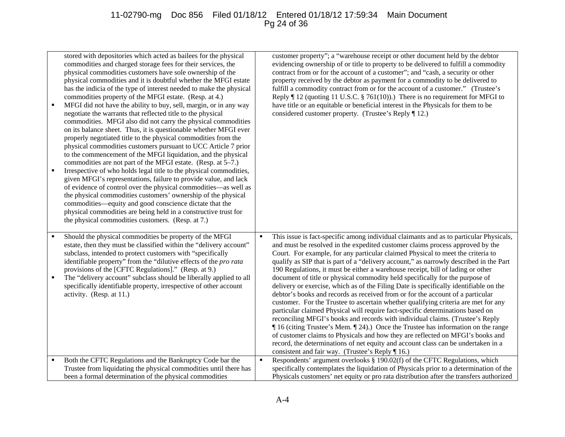## 11-02790-mg Doc 856 Filed 01/18/12 Entered 01/18/12 17:59:34 Main Document Pg 24 of 36

| $\blacksquare$ | stored with depositories which acted as bailees for the physical<br>commodities and charged storage fees for their services, the<br>physical commodities customers have sole ownership of the<br>physical commodities and it is doubtful whether the MFGI estate<br>has the indicia of the type of interest needed to make the physical<br>commodities property of the MFGI estate. (Resp. at 4.)<br>MFGI did not have the ability to buy, sell, margin, or in any way<br>negotiate the warrants that reflected title to the physical<br>commodities. MFGI also did not carry the physical commodities<br>on its balance sheet. Thus, it is questionable whether MFGI ever<br>properly negotiated title to the physical commodities from the<br>physical commodities customers pursuant to UCC Article 7 prior<br>to the commencement of the MFGI liquidation, and the physical<br>commodities are not part of the MFGI estate. (Resp. at 5–7.)<br>Irrespective of who holds legal title to the physical commodities,<br>given MFGI's representations, failure to provide value, and lack<br>of evidence of control over the physical commodities-as well as<br>the physical commodities customers' ownership of the physical<br>commodities—equity and good conscience dictate that the<br>physical commodities are being held in a constructive trust for<br>the physical commodities customers. (Resp. at 7.) | customer property"; a "warehouse receipt or other document held by the debtor<br>evidencing ownership of or title to property to be delivered to fulfill a commodity<br>contract from or for the account of a customer"; and "cash, a security or other<br>property received by the debtor as payment for a commodity to be delivered to<br>fulfill a commodity contract from or for the account of a customer." (Trustee's<br>Reply $\P$ 12 (quoting 11 U.S.C. § 761(10)).) There is no requirement for MFGI to<br>have title or an equitable or beneficial interest in the Physicals for them to be<br>considered customer property. (Trustee's Reply ¶ 12.)                                                                                                                                                                                                                                                                                                                                                                                                                                                                                                                                                                                                              |
|----------------|------------------------------------------------------------------------------------------------------------------------------------------------------------------------------------------------------------------------------------------------------------------------------------------------------------------------------------------------------------------------------------------------------------------------------------------------------------------------------------------------------------------------------------------------------------------------------------------------------------------------------------------------------------------------------------------------------------------------------------------------------------------------------------------------------------------------------------------------------------------------------------------------------------------------------------------------------------------------------------------------------------------------------------------------------------------------------------------------------------------------------------------------------------------------------------------------------------------------------------------------------------------------------------------------------------------------------------------------------------------------------------------------------------------|-----------------------------------------------------------------------------------------------------------------------------------------------------------------------------------------------------------------------------------------------------------------------------------------------------------------------------------------------------------------------------------------------------------------------------------------------------------------------------------------------------------------------------------------------------------------------------------------------------------------------------------------------------------------------------------------------------------------------------------------------------------------------------------------------------------------------------------------------------------------------------------------------------------------------------------------------------------------------------------------------------------------------------------------------------------------------------------------------------------------------------------------------------------------------------------------------------------------------------------------------------------------------------|
| $\blacksquare$ | Should the physical commodities be property of the MFGI<br>estate, then they must be classified within the "delivery account"<br>subclass, intended to protect customers with "specifically<br>identifiable property" from the "dilutive effects of the pro rata<br>provisions of the [CFTC Regulations]." (Resp. at 9.)<br>The "delivery account" subclass should be liberally applied to all<br>specifically identifiable property, irrespective of other account<br>activity. (Resp. at 11.)                                                                                                                                                                                                                                                                                                                                                                                                                                                                                                                                                                                                                                                                                                                                                                                                                                                                                                                  | This issue is fact-specific among individual claimants and as to particular Physicals,<br>and must be resolved in the expedited customer claims process approved by the<br>Court. For example, for any particular claimed Physical to meet the criteria to<br>qualify as SIP that is part of a "delivery account," as narrowly described in the Part<br>190 Regulations, it must be either a warehouse receipt, bill of lading or other<br>document of title or physical commodity held specifically for the purpose of<br>delivery or exercise, which as of the Filing Date is specifically identifiable on the<br>debtor's books and records as received from or for the account of a particular<br>customer. For the Trustee to ascertain whether qualifying criteria are met for any<br>particular claimed Physical will require fact-specific determinations based on<br>reconciling MFGI's books and records with individual claims. (Trustee's Reply<br>If 16 (citing Trustee's Mem. 124).) Once the Trustee has information on the range<br>of customer claims to Physicals and how they are reflected on MFGI's books and<br>record, the determinations of net equity and account class can be undertaken in a<br>consistent and fair way. (Trustee's Reply ¶ 16.) |
|                | Both the CFTC Regulations and the Bankruptcy Code bar the<br>Trustee from liquidating the physical commodities until there has<br>been a formal determination of the physical commodities                                                                                                                                                                                                                                                                                                                                                                                                                                                                                                                                                                                                                                                                                                                                                                                                                                                                                                                                                                                                                                                                                                                                                                                                                        | Respondents' argument overlooks § 190.02(f) of the CFTC Regulations, which<br>$\blacksquare$<br>specifically contemplates the liquidation of Physicals prior to a determination of the<br>Physicals customers' net equity or pro rata distribution after the transfers authorized                                                                                                                                                                                                                                                                                                                                                                                                                                                                                                                                                                                                                                                                                                                                                                                                                                                                                                                                                                                           |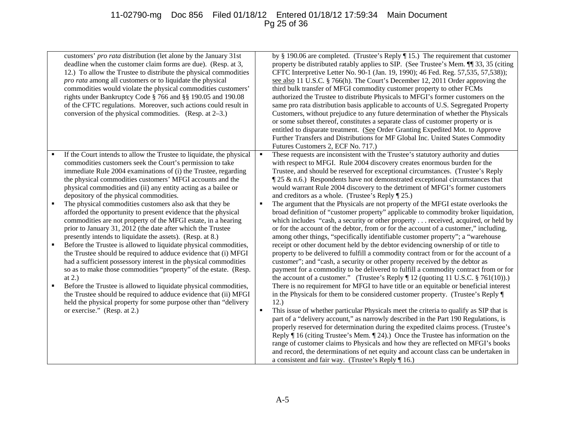## 11-02790-mg Doc 856 Filed 01/18/12 Entered 01/18/12 17:59:34 Main Document Pg 25 of 36

|                                       | customers' pro rata distribution (let alone by the January 31st<br>deadline when the customer claim forms are due). (Resp. at 3,<br>12.) To allow the Trustee to distribute the physical commodities<br>pro rata among all customers or to liquidate the physical<br>commodities would violate the physical commodities customers'<br>rights under Bankruptcy Code § 766 and §§ 190.05 and 190.08<br>of the CFTC regulations. Moreover, such actions could result in<br>conversion of the physical commodities. (Resp. at $2-3$ .)                                                                                                                                                                                                                                                                                                                                                                                                                                                                                                                                                                                                                                                                                                              |                          | by § 190.06 are completed. (Trustee's Reply $\P$ 15.) The requirement that customer<br>property be distributed ratably applies to SIP. (See Trustee's Mem. ¶ 33, 35 (citing<br>CFTC Interpretive Letter No. 90-1 (Jan. 19, 1990); 46 Fed. Reg. 57,535, 57,538));<br>see also 11 U.S.C. § 766(h). The Court's December 12, 2011 Order approving the<br>third bulk transfer of MFGI commodity customer property to other FCMs<br>authorized the Trustee to distribute Physicals to MFGI's former customers on the<br>same pro rata distribution basis applicable to accounts of U.S. Segregated Property<br>Customers, without prejudice to any future determination of whether the Physicals<br>or some subset thereof, constitutes a separate class of customer property or is<br>entitled to disparate treatment. (See Order Granting Expedited Mot. to Approve<br>Further Transfers and Distributions for MF Global Inc. United States Commodity<br>Futures Customers 2, ECF No. 717.)                                                                                                                                                                                                                                                                                                                                                                                                                                                                                                                                                                                                                                                                                                                                                                                                                                                                                                                                                            |
|---------------------------------------|-------------------------------------------------------------------------------------------------------------------------------------------------------------------------------------------------------------------------------------------------------------------------------------------------------------------------------------------------------------------------------------------------------------------------------------------------------------------------------------------------------------------------------------------------------------------------------------------------------------------------------------------------------------------------------------------------------------------------------------------------------------------------------------------------------------------------------------------------------------------------------------------------------------------------------------------------------------------------------------------------------------------------------------------------------------------------------------------------------------------------------------------------------------------------------------------------------------------------------------------------|--------------------------|-----------------------------------------------------------------------------------------------------------------------------------------------------------------------------------------------------------------------------------------------------------------------------------------------------------------------------------------------------------------------------------------------------------------------------------------------------------------------------------------------------------------------------------------------------------------------------------------------------------------------------------------------------------------------------------------------------------------------------------------------------------------------------------------------------------------------------------------------------------------------------------------------------------------------------------------------------------------------------------------------------------------------------------------------------------------------------------------------------------------------------------------------------------------------------------------------------------------------------------------------------------------------------------------------------------------------------------------------------------------------------------------------------------------------------------------------------------------------------------------------------------------------------------------------------------------------------------------------------------------------------------------------------------------------------------------------------------------------------------------------------------------------------------------------------------------------------------------------------------------------------------------------------------------------------------------------------|
| ٠<br>$\blacksquare$<br>$\blacksquare$ | If the Court intends to allow the Trustee to liquidate, the physical<br>commodities customers seek the Court's permission to take<br>immediate Rule 2004 examinations of (i) the Trustee, regarding<br>the physical commodities customers' MFGI accounts and the<br>physical commodities and (ii) any entity acting as a bailee or<br>depository of the physical commodities.<br>The physical commodities customers also ask that they be<br>afforded the opportunity to present evidence that the physical<br>commodities are not property of the MFGI estate, in a hearing<br>prior to January 31, 2012 (the date after which the Trustee<br>presently intends to liquidate the assets). (Resp. at 8.)<br>Before the Trustee is allowed to liquidate physical commodities,<br>the Trustee should be required to adduce evidence that (i) MFGI<br>had a sufficient possessory interest in the physical commodities<br>so as to make those commodities "property" of the estate. (Resp.<br>at $2.$ )<br>Before the Trustee is allowed to liquidate physical commodities,<br>the Trustee should be required to adduce evidence that (ii) MFGI<br>held the physical property for some purpose other than "delivery<br>or exercise." (Resp. at 2.) | $\blacksquare$<br>٠<br>٠ | These requests are inconsistent with the Trustee's statutory authority and duties<br>with respect to MFGI. Rule 2004 discovery creates enormous burden for the<br>Trustee, and should be reserved for exceptional circumstances. (Trustee's Reply<br>$\parallel$ 25 & n.6.) Respondents have not demonstrated exceptional circumstances that<br>would warrant Rule 2004 discovery to the detriment of MFGI's former customers<br>and creditors as a whole. (Trustee's Reply $\P$ 25.)<br>The argument that the Physicals are not property of the MFGI estate overlooks the<br>broad definition of "customer property" applicable to commodity broker liquidation,<br>which includes "cash, a security or other property received, acquired, or held by<br>or for the account of the debtor, from or for the account of a customer," including,<br>among other things, "specifically identifiable customer property"; a "warehouse<br>receipt or other document held by the debtor evidencing ownership of or title to<br>property to be delivered to fulfill a commodity contract from or for the account of a<br>customer"; and "cash, a security or other property received by the debtor as<br>payment for a commodity to be delivered to fulfill a commodity contract from or for<br>the account of a customer." (Trustee's Reply $\P$ 12 (quoting 11 U.S.C. § 761(10)).)<br>There is no requirement for MFGI to have title or an equitable or beneficial interest<br>in the Physicals for them to be considered customer property. (Trustee's Reply ¶<br>12.)<br>This issue of whether particular Physicals meet the criteria to qualify as SIP that is<br>part of a "delivery account," as narrowly described in the Part 190 Regulations, is<br>properly reserved for determination during the expedited claims process. (Trustee's<br>Reply $\parallel$ 16 (citing Trustee's Mem. $\parallel$ 24).) Once the Trustee has information on the |
|                                       |                                                                                                                                                                                                                                                                                                                                                                                                                                                                                                                                                                                                                                                                                                                                                                                                                                                                                                                                                                                                                                                                                                                                                                                                                                                 |                          | range of customer claims to Physicals and how they are reflected on MFGI's books<br>and record, the determinations of net equity and account class can be undertaken in<br>a consistent and fair way. (Trustee's Reply $\P$ 16.)                                                                                                                                                                                                                                                                                                                                                                                                                                                                                                                                                                                                                                                                                                                                                                                                                                                                                                                                                                                                                                                                                                                                                                                                                                                                                                                                                                                                                                                                                                                                                                                                                                                                                                                    |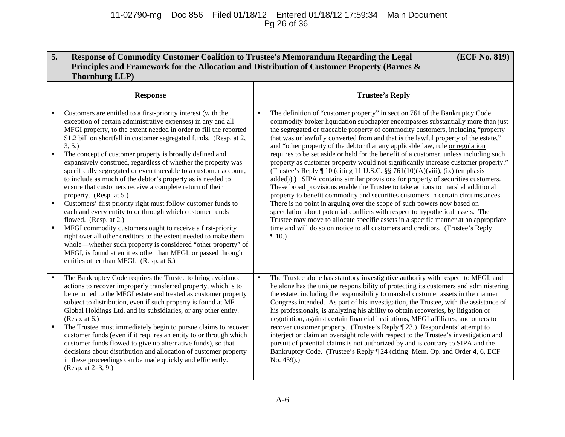| 5.<br>(ECF No. 819)<br>Response of Commodity Customer Coalition to Trustee's Memorandum Regarding the Legal<br>Principles and Framework for the Allocation and Distribution of Customer Property (Barnes &<br><b>Thornburg LLP</b> )                                                                                                                                                                                                                                                                                                                                                                                                                                                                                                                                                                                                                                                                                                                                                                                                                                                                                                                               |                |                                                                                                                                                                                                                                                                                                                                                                                                                                                                                                                                                                                                                                                                                                                                                                                                                                                                                                                                                                                                                                                                                                                                                                                                                                                                                                        |
|--------------------------------------------------------------------------------------------------------------------------------------------------------------------------------------------------------------------------------------------------------------------------------------------------------------------------------------------------------------------------------------------------------------------------------------------------------------------------------------------------------------------------------------------------------------------------------------------------------------------------------------------------------------------------------------------------------------------------------------------------------------------------------------------------------------------------------------------------------------------------------------------------------------------------------------------------------------------------------------------------------------------------------------------------------------------------------------------------------------------------------------------------------------------|----------------|--------------------------------------------------------------------------------------------------------------------------------------------------------------------------------------------------------------------------------------------------------------------------------------------------------------------------------------------------------------------------------------------------------------------------------------------------------------------------------------------------------------------------------------------------------------------------------------------------------------------------------------------------------------------------------------------------------------------------------------------------------------------------------------------------------------------------------------------------------------------------------------------------------------------------------------------------------------------------------------------------------------------------------------------------------------------------------------------------------------------------------------------------------------------------------------------------------------------------------------------------------------------------------------------------------|
| <b>Response</b>                                                                                                                                                                                                                                                                                                                                                                                                                                                                                                                                                                                                                                                                                                                                                                                                                                                                                                                                                                                                                                                                                                                                                    |                | <b>Trustee's Reply</b>                                                                                                                                                                                                                                                                                                                                                                                                                                                                                                                                                                                                                                                                                                                                                                                                                                                                                                                                                                                                                                                                                                                                                                                                                                                                                 |
| Customers are entitled to a first-priority interest (with the<br>exception of certain administrative expenses) in any and all<br>MFGI property, to the extent needed in order to fill the reported<br>\$1.2 billion shortfall in customer segregated funds. (Resp. at 2,<br>3, 5.<br>$\blacksquare$<br>The concept of customer property is broadly defined and<br>expansively construed, regardless of whether the property was<br>specifically segregated or even traceable to a customer account,<br>to include as much of the debtor's property as is needed to<br>ensure that customers receive a complete return of their<br>property. (Resp. at 5.)<br>Customers' first priority right must follow customer funds to<br>$\blacksquare$<br>each and every entity to or through which customer funds<br>flowed. (Resp. at 2.)<br>MFGI commodity customers ought to receive a first-priority<br>$\blacksquare$<br>right over all other creditors to the extent needed to make them<br>whole—whether such property is considered "other property" of<br>MFGI, is found at entities other than MFGI, or passed through<br>entities other than MFGI. (Resp. at 6.) |                | The definition of "customer property" in section 761 of the Bankruptcy Code<br>commodity broker liquidation subchapter encompasses substantially more than just<br>the segregated or traceable property of commodity customers, including "property<br>that was unlawfully converted from and that is the lawful property of the estate,"<br>and "other property of the debtor that any applicable law, rule or regulation<br>requires to be set aside or held for the benefit of a customer, unless including such<br>property as customer property would not significantly increase customer property."<br>(Trustee's Reply ¶ 10 (citing 11 U.S.C. §§ 761(10)(A)(viii), (ix) (emphasis<br>added)).) SIPA contains similar provisions for property of securities customers.<br>These broad provisions enable the Trustee to take actions to marshal additional<br>property to benefit commodity and securities customers in certain circumstances.<br>There is no point in arguing over the scope of such powers now based on<br>speculation about potential conflicts with respect to hypothetical assets. The<br>Trustee may move to allocate specific assets in a specific manner at an appropriate<br>time and will do so on notice to all customers and creditors. (Trustee's Reply<br>$\P$ 10.) |
| The Bankruptcy Code requires the Trustee to bring avoidance<br>actions to recover improperly transferred property, which is to<br>be returned to the MFGI estate and treated as customer property<br>subject to distribution, even if such property is found at MF<br>Global Holdings Ltd. and its subsidiaries, or any other entity.<br>(Resp. at 6.)<br>The Trustee must immediately begin to pursue claims to recover<br>$\blacksquare$<br>customer funds (even if it requires an entity to or through which<br>customer funds flowed to give up alternative funds), so that<br>decisions about distribution and allocation of customer property<br>in these proceedings can be made quickly and efficiently.<br>(Resp. at 2–3, 9.)                                                                                                                                                                                                                                                                                                                                                                                                                             | $\blacksquare$ | The Trustee alone has statutory investigative authority with respect to MFGI, and<br>he alone has the unique responsibility of protecting its customers and administering<br>the estate, including the responsibility to marshal customer assets in the manner<br>Congress intended. As part of his investigation, the Trustee, with the assistance of<br>his professionals, is analyzing his ability to obtain recoveries, by litigation or<br>negotiation, against certain financial institutions, MFGI affiliates, and others to<br>recover customer property. (Trustee's Reply [23.) Respondents' attempt to<br>interject or claim an oversight role with respect to the Trustee's investigation and<br>pursuit of potential claims is not authorized by and is contrary to SIPA and the<br>Bankruptcy Code. (Trustee's Reply ¶ 24 (citing Mem. Op. and Order 4, 6, ECF<br>No. 459).)                                                                                                                                                                                                                                                                                                                                                                                                              |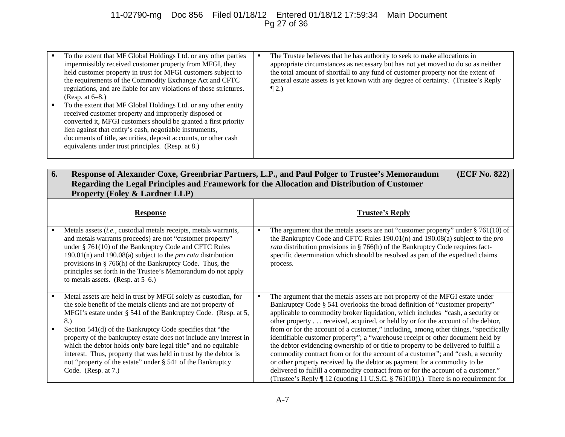## 11-02790-mg Doc 856 Filed 01/18/12 Entered 01/18/12 17:59:34 Main Document Pg 27 of 36

|   | To the extent that MF Global Holdings Ltd. or any other parties<br>impermissibly received customer property from MFGI, they<br>held customer property in trust for MFGI customers subject to<br>the requirements of the Commodity Exchange Act and CFTC<br>regulations, and are liable for any violations of those strictures.<br>(Resp. at $6-8$ .)                           | The Trustee believes that he has authority to seek to make allocations in<br>appropriate circumstances as necessary but has not yet moved to do so as neither<br>the total amount of shortfall to any fund of customer property nor the extent of<br>general estate assets is yet known with any degree of certainty. (Trustee's Reply<br>$\P$ 2.) |
|---|--------------------------------------------------------------------------------------------------------------------------------------------------------------------------------------------------------------------------------------------------------------------------------------------------------------------------------------------------------------------------------|----------------------------------------------------------------------------------------------------------------------------------------------------------------------------------------------------------------------------------------------------------------------------------------------------------------------------------------------------|
| ٠ | To the extent that MF Global Holdings Ltd. or any other entity<br>received customer property and improperly disposed or<br>converted it, MFGI customers should be granted a first priority<br>lien against that entity's cash, negotiable instruments,<br>documents of title, securities, deposit accounts, or other cash<br>equivalents under trust principles. (Resp. at 8.) |                                                                                                                                                                                                                                                                                                                                                    |

| 6. | Response of Alexander Coxe, Greenbriar Partners, L.P., and Paul Polger to Trustee's Memorandum<br>(ECF No. 822)<br>Regarding the Legal Principles and Framework for the Allocation and Distribution of Customer<br><b>Property (Foley &amp; Lardner LLP)</b>                                                                                                                                                                                                                                                                                      |   |                                                                                                                                                                                                                                                                                                                                                                                                                                                                                                                                                                                                                                                                                                                                                                        |
|----|---------------------------------------------------------------------------------------------------------------------------------------------------------------------------------------------------------------------------------------------------------------------------------------------------------------------------------------------------------------------------------------------------------------------------------------------------------------------------------------------------------------------------------------------------|---|------------------------------------------------------------------------------------------------------------------------------------------------------------------------------------------------------------------------------------------------------------------------------------------------------------------------------------------------------------------------------------------------------------------------------------------------------------------------------------------------------------------------------------------------------------------------------------------------------------------------------------------------------------------------------------------------------------------------------------------------------------------------|
|    | <b>Response</b>                                                                                                                                                                                                                                                                                                                                                                                                                                                                                                                                   |   | <b>Trustee's Reply</b>                                                                                                                                                                                                                                                                                                                                                                                                                                                                                                                                                                                                                                                                                                                                                 |
|    | Metals assets (i.e., custodial metals receipts, metals warrants,<br>and metals warrants proceeds) are not "customer property"<br>under § 761(10) of the Bankruptcy Code and CFTC Rules<br>190.01(n) and 190.08(a) subject to the <i>pro rata</i> distribution<br>provisions in $\S 766(h)$ of the Bankruptcy Code. Thus, the<br>principles set forth in the Trustee's Memorandum do not apply<br>to metals assets. (Resp. at $5-6$ .)                                                                                                             | ٠ | The argument that the metals assets are not "customer property" under $\S 761(10)$ of<br>the Bankruptcy Code and CFTC Rules 190.01(n) and 190.08(a) subject to the pro<br>rata distribution provisions in § 766(h) of the Bankruptcy Code requires fact-<br>specific determination which should be resolved as part of the expedited claims<br>process.                                                                                                                                                                                                                                                                                                                                                                                                                |
|    | Metal assets are held in trust by MFGI solely as custodian, for<br>the sole benefit of the metals clients and are not property of<br>MFGI's estate under § 541 of the Bankruptcy Code. (Resp. at 5,<br>8.)<br>Section 541(d) of the Bankruptcy Code specifies that "the<br>property of the bankruptcy estate does not include any interest in<br>which the debtor holds only bare legal title" and no equitable<br>interest. Thus, property that was held in trust by the debtor is<br>not "property of the estate" under § 541 of the Bankruptcy |   | The argument that the metals assets are not property of the MFGI estate under<br>Bankruptcy Code § 541 overlooks the broad definition of "customer property"<br>applicable to commodity broker liquidation, which includes "cash, a security or<br>other property received, acquired, or held by or for the account of the debtor,<br>from or for the account of a customer," including, among other things, "specifically<br>identifiable customer property"; a "warehouse receipt or other document held by<br>the debtor evidencing ownership of or title to property to be delivered to fulfill a<br>commodity contract from or for the account of a customer"; and "cash, a security<br>or other property received by the debtor as payment for a commodity to be |
|    | Code. (Resp. at $7$ .)                                                                                                                                                                                                                                                                                                                                                                                                                                                                                                                            |   | delivered to fulfill a commodity contract from or for the account of a customer."<br>(Trustee's Reply $\P$ 12 (quoting 11 U.S.C. § 761(10)).) There is no requirement for                                                                                                                                                                                                                                                                                                                                                                                                                                                                                                                                                                                              |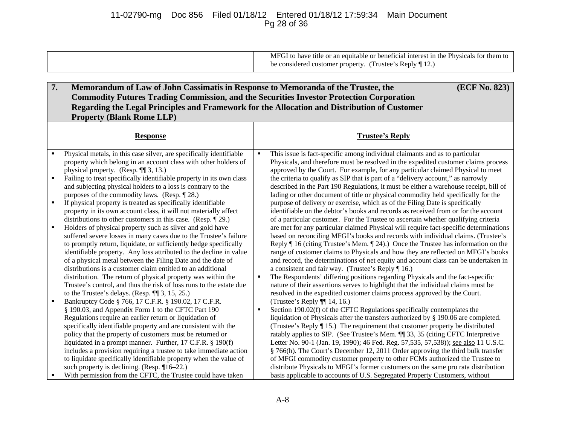## 11-02790-mg Doc 856 Filed 01/18/12 Entered 01/18/12 17:59:34 Main Document Pg 28 of 36

| MFGI to have title or an equitable or beneficial interest in the Physicals for them to |
|----------------------------------------------------------------------------------------|
| be considered customer property. (Trustee's Reply ¶ 12.)                               |
|                                                                                        |

| 7.             | Memorandum of Law of John Cassimatis in Response to Memoranda of the Trustee, the                                                       |                | (ECF No. 823)                                                                                                                                                                             |
|----------------|-----------------------------------------------------------------------------------------------------------------------------------------|----------------|-------------------------------------------------------------------------------------------------------------------------------------------------------------------------------------------|
|                | <b>Commodity Futures Trading Commission, and the Securities Investor Protection Corporation</b>                                         |                |                                                                                                                                                                                           |
|                | Regarding the Legal Principles and Framework for the Allocation and Distribution of Customer                                            |                |                                                                                                                                                                                           |
|                | <b>Property (Blank Rome LLP)</b>                                                                                                        |                |                                                                                                                                                                                           |
|                |                                                                                                                                         |                |                                                                                                                                                                                           |
|                | <b>Response</b>                                                                                                                         |                | <b>Trustee's Reply</b>                                                                                                                                                                    |
|                |                                                                                                                                         |                |                                                                                                                                                                                           |
| $\blacksquare$ | Physical metals, in this case silver, are specifically identifiable                                                                     | $\blacksquare$ | This issue is fact-specific among individual claimants and as to particular                                                                                                               |
|                | property which belong in an account class with other holders of                                                                         |                | Physicals, and therefore must be resolved in the expedited customer claims process                                                                                                        |
|                | physical property. (Resp. $\P$ $(3, 13.)$                                                                                               |                | approved by the Court. For example, for any particular claimed Physical to meet                                                                                                           |
|                | Failing to treat specifically identifiable property in its own class                                                                    |                | the criteria to qualify as SIP that is part of a "delivery account," as narrowly                                                                                                          |
|                | and subjecting physical holders to a loss is contrary to the                                                                            |                | described in the Part 190 Regulations, it must be either a warehouse receipt, bill of                                                                                                     |
|                | purposes of the commodity laws. (Resp. $\P$ 28.)                                                                                        |                | lading or other document of title or physical commodity held specifically for the                                                                                                         |
| ٠              | If physical property is treated as specifically identifiable                                                                            |                | purpose of delivery or exercise, which as of the Filing Date is specifically                                                                                                              |
|                | property in its own account class, it will not materially affect                                                                        |                | identifiable on the debtor's books and records as received from or for the account                                                                                                        |
|                | distributions to other customers in this case. (Resp. $\P$ 29.)                                                                         |                | of a particular customer. For the Trustee to ascertain whether qualifying criteria                                                                                                        |
|                | Holders of physical property such as silver and gold have                                                                               |                | are met for any particular claimed Physical will require fact-specific determinations                                                                                                     |
|                | suffered severe losses in many cases due to the Trustee's failure                                                                       |                | based on reconciling MFGI's books and records with individual claims. (Trustee's                                                                                                          |
|                | to promptly return, liquidate, or sufficiently hedge specifically<br>identifiable property. Any loss attributed to the decline in value |                | Reply $\parallel$ 16 (citing Trustee's Mem. $\parallel$ 24).) Once the Trustee has information on the<br>range of customer claims to Physicals and how they are reflected on MFGI's books |
|                | of a physical metal between the Filing Date and the date of                                                                             |                | and record, the determinations of net equity and account class can be undertaken in                                                                                                       |
|                | distributions is a customer claim entitled to an additional                                                                             |                | a consistent and fair way. (Trustee's Reply $\P$ 16.)                                                                                                                                     |
|                | distribution. The return of physical property was within the                                                                            | ٠              | The Respondents' differing positions regarding Physicals and the fact-specific                                                                                                            |
|                | Trustee's control, and thus the risk of loss runs to the estate due                                                                     |                | nature of their assertions serves to highlight that the individual claims must be                                                                                                         |
|                | to the Trustee's delays. (Resp. $\P$ $[3, 15, 25]$ )                                                                                    |                | resolved in the expedited customer claims process approved by the Court.                                                                                                                  |
|                | Bankruptcy Code § 766, 17 C.F.R. § 190.02, 17 C.F.R.                                                                                    |                | (Trustee's Reply ¶[ 14, 16.)                                                                                                                                                              |
|                | § 190.03, and Appendix Form 1 to the CFTC Part 190                                                                                      | ٠              | Section 190.02(f) of the CFTC Regulations specifically contemplates the                                                                                                                   |
|                | Regulations require an earlier return or liquidation of                                                                                 |                | liquidation of Physicals after the transfers authorized by § 190.06 are completed.                                                                                                        |
|                | specifically identifiable property and are consistent with the                                                                          |                | (Trustee's Reply ¶ 15.) The requirement that customer property be distributed                                                                                                             |
|                | policy that the property of customers must be returned or                                                                               |                | ratably applies to SIP. (See Trustee's Mem. ¶ 33, 35 (citing CFTC Interpretive                                                                                                            |
|                | liquidated in a prompt manner. Further, 17 C.F.R. § 190(f)                                                                              |                | Letter No. 90-1 (Jan. 19, 1990); 46 Fed. Reg. 57,535, 57,538)); see also 11 U.S.C.                                                                                                        |
|                | includes a provision requiring a trustee to take immediate action                                                                       |                | § 766(h). The Court's December 12, 2011 Order approving the third bulk transfer                                                                                                           |
|                | to liquidate specifically identifiable property when the value of                                                                       |                | of MFGI commodity customer property to other FCMs authorized the Trustee to                                                                                                               |
|                | such property is declining. (Resp. $\P$ 16–22.)                                                                                         |                | distribute Physicals to MFGI's former customers on the same pro rata distribution                                                                                                         |
|                | With permission from the CFTC, the Trustee could have taken                                                                             |                | basis applicable to accounts of U.S. Segregated Property Customers, without                                                                                                               |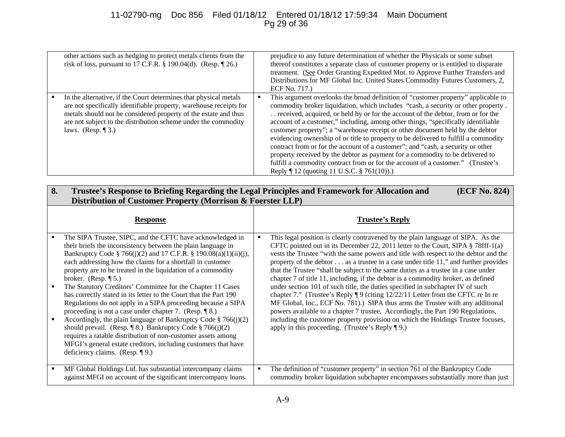# 11-02790-mg Doc 856 Filed 01/18/12 Entered 01/18/12 17:59:34 Main Document Pg 29 of 36

| other actions such as hedging to protect metals clients from the<br>risk of loss, pursuant to 17 C.F.R. § 190.04(d). (Resp. ¶ 26.)                                                                                                                                                                   | prejudice to any future determination of whether the Physicals or some subset<br>thereof constitutes a separate class of customer property or is entitled to disparate<br>treatment. (See Order Granting Expedited Mot. to Approve Further Transfers and<br>Distributions for MF Global Inc. United States Commodity Futures Customers, 2,<br>ECF No. 717.)                                                                                                                                                                                                                                                                                                                                                                                                                                                                      |
|------------------------------------------------------------------------------------------------------------------------------------------------------------------------------------------------------------------------------------------------------------------------------------------------------|----------------------------------------------------------------------------------------------------------------------------------------------------------------------------------------------------------------------------------------------------------------------------------------------------------------------------------------------------------------------------------------------------------------------------------------------------------------------------------------------------------------------------------------------------------------------------------------------------------------------------------------------------------------------------------------------------------------------------------------------------------------------------------------------------------------------------------|
| In the alternative, if the Court determines that physical metals<br>are not specifically identifiable property, warehouse receipts for<br>metals should not be considered property of the estate and thus<br>are not subject to the distribution scheme under the commodity<br>laws. (Resp. $\P$ 3.) | This argument overlooks the broad definition of "customer property" applicable to<br>commodity broker liquidation, which includes "cash, a security or other property.<br>. . received, acquired, or held by or for the account of the debtor, from or for the<br>account of a customer," including, among other things, "specifically identifiable<br>customer property"; a "warehouse receipt or other document held by the debtor<br>evidencing ownership of or title to property to be delivered to fulfill a commodity<br>contract from or for the account of a customer"; and "cash, a security or other<br>property received by the debtor as payment for a commodity to be delivered to<br>fulfill a commodity contract from or for the account of a customer." (Trustee's<br>Reply ¶ 12 (quoting 11 U.S.C. § 761(10)).) |

| 8. | Trustee's Response to Briefing Regarding the Legal Principles and Framework for Allocation and<br>(ECF No. 824)<br>Distribution of Customer Property (Morrison & Foerster LLP)                                                                                                                                                                                                                                                                                                                                                                                                                                                                                                                                                                                                                                                                                                                                                                         |  |                                                                                                                                                                                                                                                                                                                                                                                                                                                                                                                                                                                                                                                                                                                                                                                                                                                                                                                                                                                                                                |
|----|--------------------------------------------------------------------------------------------------------------------------------------------------------------------------------------------------------------------------------------------------------------------------------------------------------------------------------------------------------------------------------------------------------------------------------------------------------------------------------------------------------------------------------------------------------------------------------------------------------------------------------------------------------------------------------------------------------------------------------------------------------------------------------------------------------------------------------------------------------------------------------------------------------------------------------------------------------|--|--------------------------------------------------------------------------------------------------------------------------------------------------------------------------------------------------------------------------------------------------------------------------------------------------------------------------------------------------------------------------------------------------------------------------------------------------------------------------------------------------------------------------------------------------------------------------------------------------------------------------------------------------------------------------------------------------------------------------------------------------------------------------------------------------------------------------------------------------------------------------------------------------------------------------------------------------------------------------------------------------------------------------------|
|    | <b>Response</b>                                                                                                                                                                                                                                                                                                                                                                                                                                                                                                                                                                                                                                                                                                                                                                                                                                                                                                                                        |  | <b>Trustee's Reply</b>                                                                                                                                                                                                                                                                                                                                                                                                                                                                                                                                                                                                                                                                                                                                                                                                                                                                                                                                                                                                         |
|    | The SIPA Trustee, SIPC, and the CFTC have acknowledged in<br>their briefs the inconsistency between the plain language in<br>Bankruptcy Code § 766(j)(2) and 17 C.F.R. § 190.08(a)(1)(ii)(j),<br>each addressing how the claims for a shortfall in customer<br>property are to be treated in the liquidation of a commodity<br>broker. (Resp. $\P$ 5.)<br>The Statutory Creditors' Committee for the Chapter 11 Cases<br>has correctly stated in its letter to the Court that the Part 190<br>Regulations do not apply in a SIPA proceeding because a SIPA<br>proceeding is not a case under chapter 7. (Resp. $\P$ 8.)<br>Accordingly, the plain language of Bankruptcy Code $\S 766(j)(2)$<br>should prevail. (Resp. $\llbracket 8 \rrbracket$ ) Bankruptcy Code § 766(j)(2)<br>requires a ratable distribution of non-customer assets among<br>MFGI's general estate creditors, including customers that have<br>deficiency claims. (Resp. $\P$ 9.) |  | This legal position is clearly contravened by the plain language of SIPA. As the<br>CFTC pointed out in its December 22, 2011 letter to the Court, SIPA § 78fff-1(a)<br>vests the Trustee "with the same powers and title with respect to the debtor and the<br>property of the debtor $\dots$ as a trustee in a case under title 11," and further provides<br>that the Trustee "shall be subject to the same duties as a trustee in a case under<br>chapter 7 of title 11, including, if the debtor is a commodity broker, as defined<br>under section 101 of such title, the duties specified in subchapter IV of such<br>chapter 7." (Trustee's Reply $\P$ 9 (citing 12/22/11 Letter from the CFTC re In re<br>MF Global, Inc., ECF No. 781).) SIPA thus arms the Trustee with any additional<br>powers available to a chapter 7 trustee. Accordingly, the Part 190 Regulations,<br>including the customer property provision on which the Holdings Trustee focuses,<br>apply in this proceeding. (Trustee's Reply $\P$ 9.) |
|    | MF Global Holdings Ltd. has substantial intercompany claims<br>against MFGI on account of the significant intercompany loans                                                                                                                                                                                                                                                                                                                                                                                                                                                                                                                                                                                                                                                                                                                                                                                                                           |  | The definition of "customer property" in section 761 of the Bankruptcy Code<br>commodity broker liquidation subchapter encompasses substantially more than just                                                                                                                                                                                                                                                                                                                                                                                                                                                                                                                                                                                                                                                                                                                                                                                                                                                                |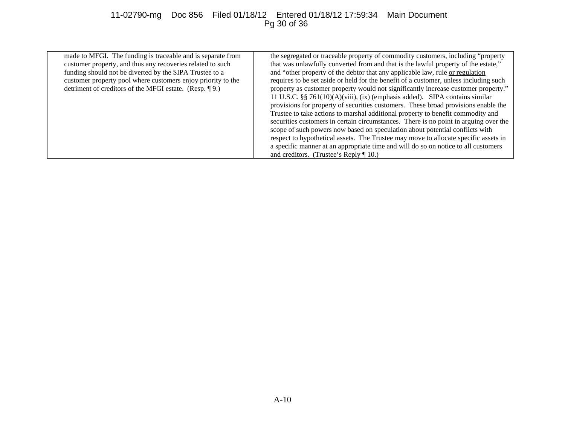## 11-02790-mg Doc 856 Filed 01/18/12 Entered 01/18/12 17:59:34 Main Document Pg 30 of 36

| made to MFGI. The funding is traceable and is separate from<br>customer property, and thus any recoveries related to such<br>funding should not be diverted by the SIPA Trustee to a<br>customer property pool where customers enjoy priority to the<br>detriment of creditors of the MFGI estate. (Resp. 19.) | the segregated or traceable property of commodity customers, including "property<br>that was unlawfully converted from and that is the lawful property of the estate,"<br>and "other property of the debtor that any applicable law, rule or regulation<br>requires to be set aside or held for the benefit of a customer, unless including such<br>property as customer property would not significantly increase customer property."<br>11 U.S.C. $\S$ § 761(10)(A)(viii), (ix) (emphasis added). SIPA contains similar<br>provisions for property of securities customers. These broad provisions enable the<br>Trustee to take actions to marshal additional property to benefit commodity and<br>securities customers in certain circumstances. There is no point in arguing over the<br>scope of such powers now based on speculation about potential conflicts with<br>respect to hypothetical assets. The Trustee may move to allocate specific assets in<br>a specific manner at an appropriate time and will do so on notice to all customers<br>and creditors. (Trustee's Reply $\P$ 10.) |
|----------------------------------------------------------------------------------------------------------------------------------------------------------------------------------------------------------------------------------------------------------------------------------------------------------------|------------------------------------------------------------------------------------------------------------------------------------------------------------------------------------------------------------------------------------------------------------------------------------------------------------------------------------------------------------------------------------------------------------------------------------------------------------------------------------------------------------------------------------------------------------------------------------------------------------------------------------------------------------------------------------------------------------------------------------------------------------------------------------------------------------------------------------------------------------------------------------------------------------------------------------------------------------------------------------------------------------------------------------------------------------------------------------------------------|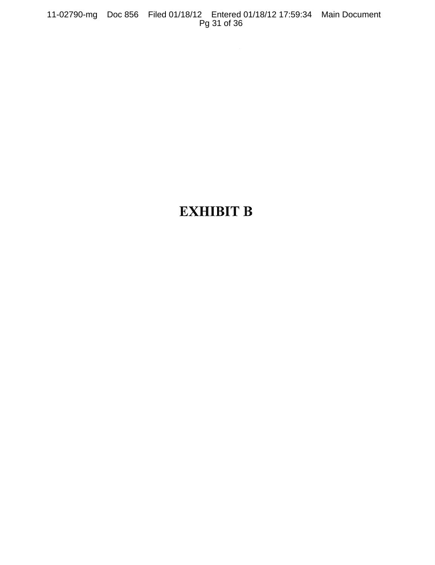11-02790-mg Doc 856 Filed 01/18/12 Entered 01/18/12 17:59:34 Main Document Pg 31 of 36

## EXHIBIT **B**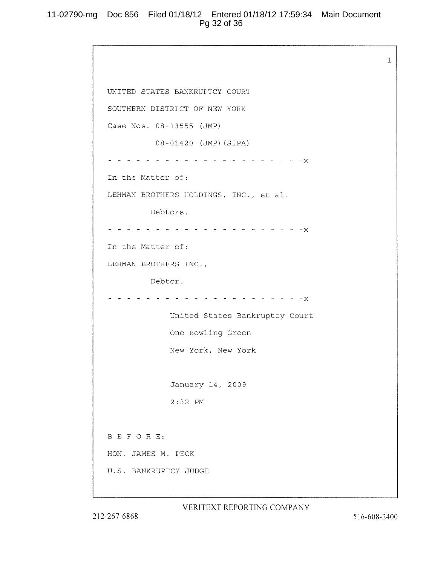## 11-02790-mg Doc 856 Filed 01/18/12 Entered 01/18/12 17:59:34 Main Document Pg 32 of 36

```
UNITED STATES BANKRUPTCY COURT
SOUTHERN DISTRICT OF NEW YORK
Case Nos. 08-13555 (JMP)
        08-01420 (JMP) (SIPA)
            - - - - - - - - - - - - - X
In the Matter of:
LEHMAN BROTHERS HOLDINGS, INC., et al.
       Debtors.
 In the Matter of:
LEHMAN BROTHERS INC.,
        Debtor.
       - - - - - - - - - - - - - - - - - - X
            United States Bankruptcy Court
            One Bowling Green
            New York, New York
            January 14, 2009
            2:32 PM
B E F 0 R E:
HON. JAMES M. PECK
U.S. BANKRUPTCY JUDGE
```
VERITEXT REPORTING COMPANY

 $\mathbf{1}$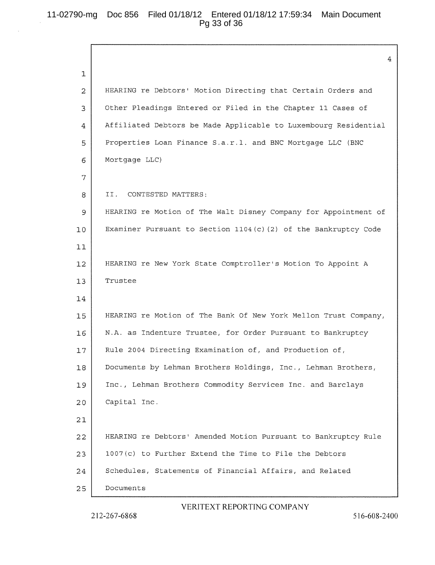## 11-02790-mg Doc 856 Filed 01/18/12 Entered 01/18/12 17:59:34 Main Document Pg 33 of 36

 $\overline{4}$  $\mathbf{1}$  $\overline{2}$ HEARING re Debtors' Motion Directing that Certain Orders and 3 Other Pleadings Entered or Filed in the Chapter 11 Cases of 4 Affiliated Debtors be Made Applicable to Luxembourg Residential <sup>5</sup> Properties Loan Finance S.a.r.l. and BNC Mortgage LLC (BNC 6 | Mortgage LLC) 7 8 | II. CONTESTED MATTERS: HEARING re Motion of The Walt Disney Company for Appointment of 9 10 Examiner Pursuant to Section 1104(c)(2) of the Bankruptcy Code  $11$ HEARING re New York State Comptroller's Motion To Appoint <sup>A</sup>  $12<sup>°</sup>$ 13 Trustee 14 15 HEARING re Motion of The Bank Of New York Mellon Trust Company, N,A, as Indenture Trustee, for Order Pursuant to Bankruptcy 16 17 | Rule 2004 Directing Examination of, and Production of, 18 Documents by Lehman Brothers Holdings, Inc., Lehman Brothers, 19 | Inc., Lehman Brothers Commodity Services Inc. and Barclays 20 Capital Inc. 21 HEARING re Debtors' Amended Motion Pursuant to Bankruptcy Rule 22 1007(c) to Further Extend the Time to File the Debtors 23 24 Schedules, Statements of Financial Affairs, and Related 25 | Documents

#### VERITEXT REPORTING COMPANY

212-267-6868

516-608-2400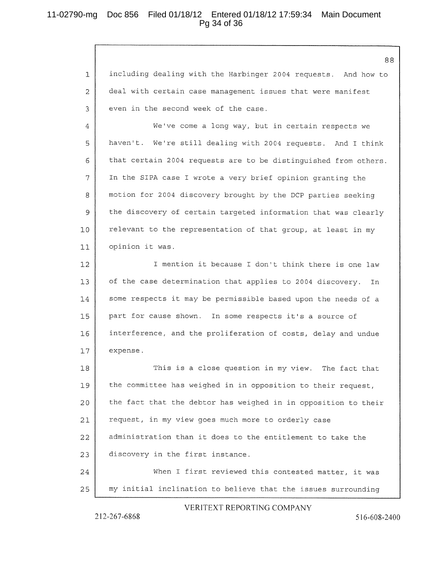## 11-02790-mg Doc 856 Filed 01/18/12 Entered 01/18/12 17:59:34 Main Document Pg 34 of 36

88 including dealing with the Harbinger 2004 requests. And how to  $1\,$ deal with certain case management issues that were manifest 2 3 even in the second week of the case. We've come a long way, but in certain respects we  $\overline{4}$ haven't. We're still dealing with 2004 requests. And I think 5 that certain 2004 requests are to be distinguished from others. 6 7 | In the SIPA case I wrote a very brief opinion granting the 8 | motion for 2004 discovery brought by the DCP parties seeking 9 | the discovery of certain targeted information that was clearly  $10$  relevant to the representation of that group, at least in my 11 opinion it was. 12 | Thention it because I don't think there is one law 13 | of the case determination that applies to 2004 discovery. In some respects it may be permissible based upon the needs of <sup>a</sup>  $14$ part for cause shown. In some respects it's <sup>a</sup> source of 15  $16$ interference, and the proliferation of costs, delay and undue 17 expense. 18 This is a close question in my view. The fact that 19 | the committee has weighed in in opposition to their request,  $20$  the fact that the debtor has weighed in in opposition to their request, in my view goes much more to orderly case  $21$ administration than it does to the entitlement to take the  $22$ 23 discovery in the first instance. 24 When I first reviewed this contested matter, it was 25 my initial inclination to believe that the issues surrounding

#### VERITEXT REPORTING COMPANY

2 <sup>I</sup> 2-267-6868

516-608-2400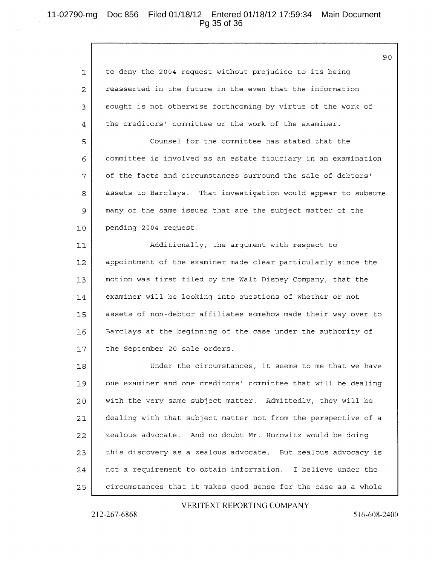## 11-02790-mg Doc 856 Filed 01/18/12 Entered 01/18/12 17:59:34 Main Document Pg 35 of 36

to deny the <sup>2004</sup> request without prejudice to its being  $\mathbf{1}$ reasserted in the future in the even that the information 2 <sup>3</sup> sought is not otherwise forthcoming by virtue of the work of  $\overline{4}$ the creditors' committee or the work of the examiner. 5 Counsel for the committee has stated that the 6 committee is involved as an estate fiduciary in an examination 7 of the facts and circumstances surround the sale of debtors' assets to Barclays. That investigation would appear to subsume 8 <sup>g</sup> many of the same issues that are the subject matter of the 10 pending 2004 request. Additionally, the argument with respect to  $11$ appointment of the examiner made clear particularly since the  $12$ 13 motion was first filed by the Walt Disney Company, that the 14 examiner will be looking into questions of whether or not 15 | assets of non-debtor affiliates somehow made their way over to Barclays at the beginning of the case under the authority of 16 17 | the September 20 sale orders. 18 Under the circumstances, it seems to me that we have  $19$  one examiner and one creditors' committee that will be dealing 20 with the very same subject matter. Admittedly, they will be  $21$ dealing with that subject matter not from the perspective of a zealous advocate. And no doubt Mr. Horowitz would be doing 22 23 this discovery as a zealous advocate. But zealous advocacy is 24 | not a requirement to obtain information. I believe under the 25 circumstances that it makes good sense for the case as a whole

#### VERITEXT REPORTING COMPANY

212-267-6868

516-608-2400